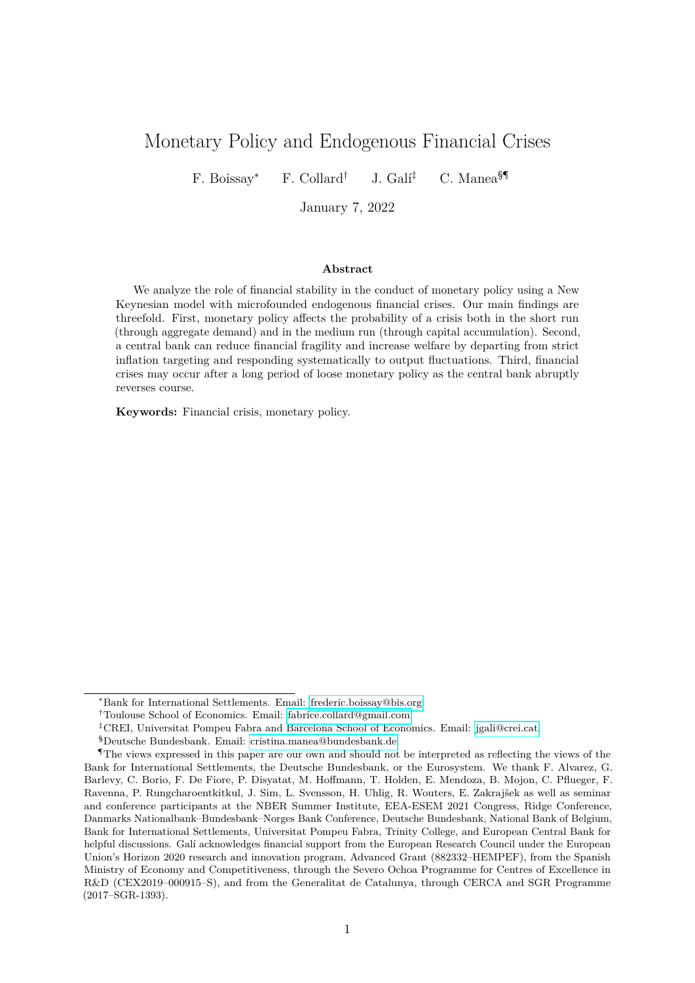# Monetary Policy and Endogenous Financial Crises

F. Boissay<sup>∗</sup> F. Collard<sup>†</sup> J. Galí<sup>‡</sup> C. Manea<sup>§¶</sup>

January 7, 2022

#### **Abstract**

We analyze the role of financial stability in the conduct of monetary policy using a New Keynesian model with microfounded endogenous financial crises. Our main findings are threefold. First, monetary policy affects the probability of a crisis both in the short run (through aggregate demand) and in the medium run (through capital accumulation). Second, a central bank can reduce financial fragility and increase welfare by departing from strict inflation targeting and responding systematically to output fluctuations. Third, financial crises may occur after a long period of loose monetary policy as the central bank abruptly reverses course.

**Keywords:** Financial crisis, monetary policy.

<sup>∗</sup>Bank for International Settlements. Email: [frederic.boissay@bis.org.](mailto:frederic.boissay@bis.org)

<sup>†</sup>Toulouse School of Economics. Email: [fabrice.collard@gmail.com.](mailto:fabrice.collard@gmail.com)

<sup>‡</sup>CREI, Universitat Pompeu Fabra and Barcelona School of Economics. Email: [jgali@crei.cat.](mailto:jgali@crei.cat)

<sup>§</sup>Deutsche Bundesbank. Email: [cristina.manea@bundesbank.de.](mailto:cristina.manea@bundesbank.de)

<sup>¶</sup>The views expressed in this paper are our own and should not be interpreted as reflecting the views of the Bank for International Settlements, the Deutsche Bundesbank, or the Eurosystem. We thank F. Alvarez, G. Barlevy, C. Borio, F. De Fiore, P. Disyatat, M. Hoffmann, T. Holden, E. Mendoza, B. Mojon, C. Pflueger, F. Ravenna, P. Rungcharoentkitkul, J. Sim, L. Svensson, H. Uhlig, R. Wouters, E. Zakrajšek as well as seminar and conference participants at the NBER Summer Institute, EEA-ESEM 2021 Congress, Ridge Conference, Danmarks Nationalbank–Bundesbank–Norges Bank Conference, Deutsche Bundesbank, National Bank of Belgium, Bank for International Settlements, Universitat Pompeu Fabra, Trinity College, and European Central Bank for helpful discussions. Galí acknowledges financial support from the European Research Council under the European Union's Horizon 2020 research and innovation program, Advanced Grant (882332–HEMPEF), from the Spanish Ministry of Economy and Competitiveness, through the Severo Ochoa Programme for Centres of Excellence in R&D (CEX2019–000915–S), and from the Generalitat de Catalunya, through CERCA and SGR Programme (2017–SGR-1393).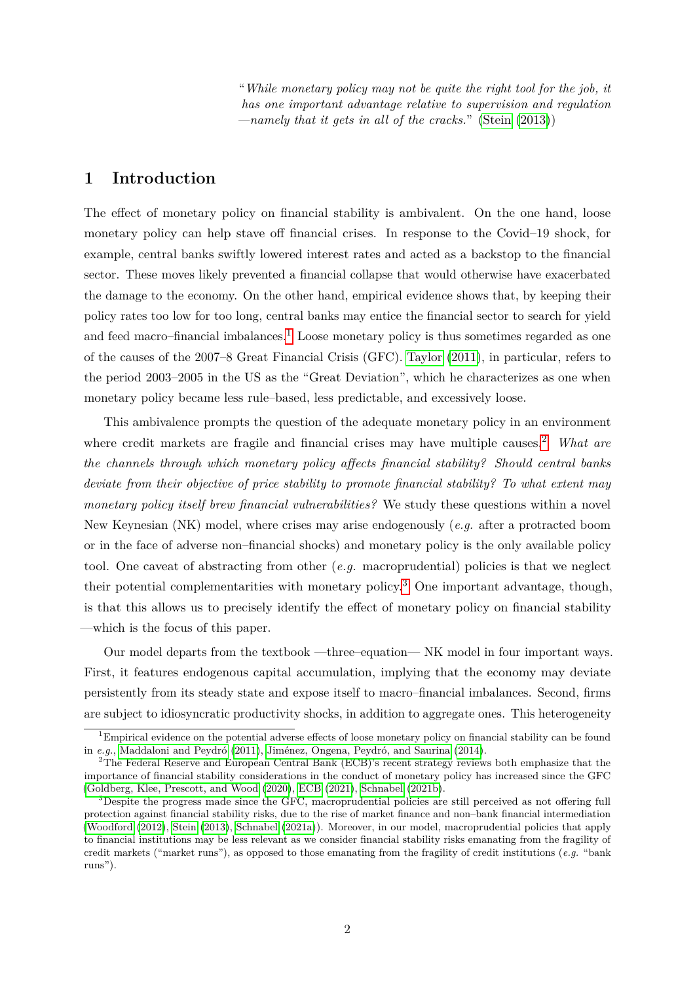"*While monetary policy may not be quite the right tool for the job, it has one important advantage relative to supervision and regulation —namely that it gets in all of the cracks.*" [\(Stein](#page-27-0) [\(2013\)](#page-27-0))

## **1 Introduction**

The effect of monetary policy on financial stability is ambivalent. On the one hand, loose monetary policy can help stave off financial crises. In response to the Covid–19 shock, for example, central banks swiftly lowered interest rates and acted as a backstop to the financial sector. These moves likely prevented a financial collapse that would otherwise have exacerbated the damage to the economy. On the other hand, empirical evidence shows that, by keeping their policy rates too low for too long, central banks may entice the financial sector to search for yield and feed macro–financial imbalances.<sup>[1](#page-1-0)</sup> Loose monetary policy is thus sometimes regarded as one of the causes of the 2007–8 Great Financial Crisis (GFC). [Taylor](#page-27-1) [\(2011\)](#page-27-1), in particular, refers to the period 2003–2005 in the US as the "Great Deviation", which he characterizes as one when monetary policy became less rule–based, less predictable, and excessively loose.

This ambivalence prompts the question of the adequate monetary policy in an environment where credit markets are fragile and financial crises may have multiple causes.<sup>[2](#page-1-1)</sup> *What are the channels through which monetary policy affects financial stability? Should central banks deviate from their objective of price stability to promote financial stability? To what extent may monetary policy itself brew financial vulnerabilities?* We study these questions within a novel New Keynesian (NK) model, where crises may arise endogenously (*e.g.* after a protracted boom or in the face of adverse non–financial shocks) and monetary policy is the only available policy tool. One caveat of abstracting from other (*e.g.* macroprudential) policies is that we neglect their potential complementarities with monetary policy.[3](#page-1-2) One important advantage, though, is that this allows us to precisely identify the effect of monetary policy on financial stability —which is the focus of this paper.

Our model departs from the textbook —three–equation— NK model in four important ways. First, it features endogenous capital accumulation, implying that the economy may deviate persistently from its steady state and expose itself to macro–financial imbalances. Second, firms are subject to idiosyncratic productivity shocks, in addition to aggregate ones. This heterogeneity

<span id="page-1-0"></span><sup>1</sup>Empirical evidence on the potential adverse effects of loose monetary policy on financial stability can be found in *e.g.*, Maddaloni and Peydró [\(2011\)](#page-26-0), Jiménez, Ongena, Peydró, and Saurina [\(2014\)](#page-26-1).

<span id="page-1-1"></span><sup>2</sup>The Federal Reserve and European Central Bank (ECB)'s recent strategy reviews both emphasize that the importance of financial stability considerations in the conduct of monetary policy has increased since the GFC [\(Goldberg, Klee, Prescott, and Wood](#page-25-0) [\(2020\)](#page-25-0), [ECB](#page-25-1) [\(2021\)](#page-25-1), [Schnabel](#page-27-2) [\(2021b\)](#page-27-2).

<span id="page-1-2"></span><sup>&</sup>lt;sup>3</sup>Despite the progress made since the GFC, macroprudential policies are still perceived as not offering full protection against financial stability risks, due to the rise of market finance and non–bank financial intermediation [\(Woodford](#page-27-3) [\(2012\)](#page-27-3), [Stein](#page-27-0) [\(2013\)](#page-27-0), [Schnabel](#page-26-2) [\(2021a\)](#page-26-2)). Moreover, in our model, macroprudential policies that apply to financial institutions may be less relevant as we consider financial stability risks emanating from the fragility of credit markets ("market runs"), as opposed to those emanating from the fragility of credit institutions (*e.g.* "bank runs").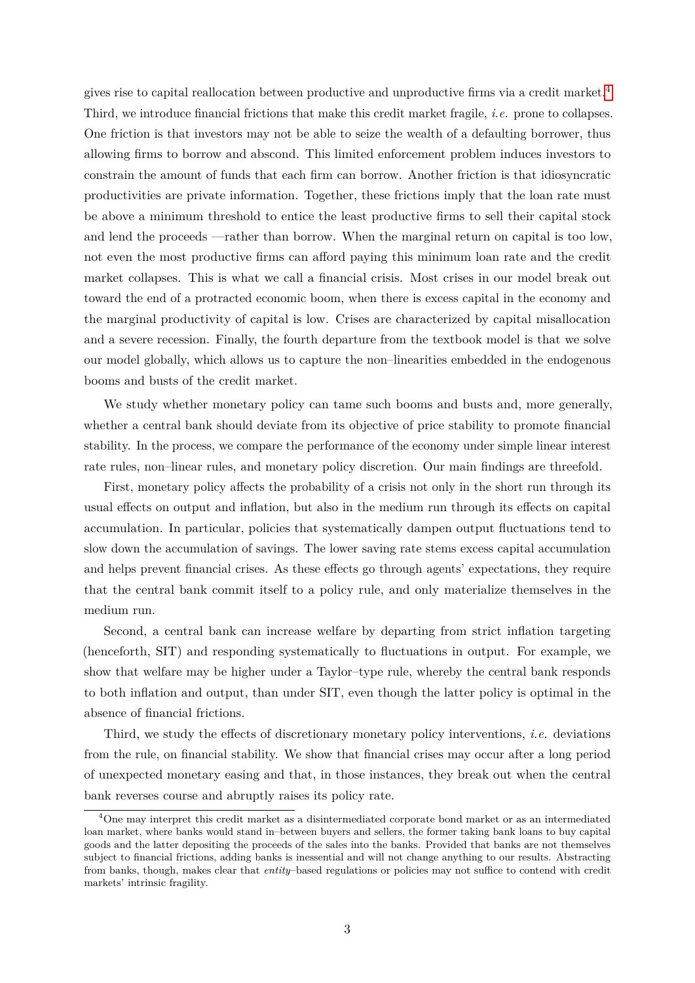gives rise to capital reallocation between productive and unproductive firms via a credit market.[4](#page-2-0) Third, we introduce financial frictions that make this credit market fragile, *i.e.* prone to collapses. One friction is that investors may not be able to seize the wealth of a defaulting borrower, thus allowing firms to borrow and abscond. This limited enforcement problem induces investors to constrain the amount of funds that each firm can borrow. Another friction is that idiosyncratic productivities are private information. Together, these frictions imply that the loan rate must be above a minimum threshold to entice the least productive firms to sell their capital stock and lend the proceeds —rather than borrow. When the marginal return on capital is too low, not even the most productive firms can afford paying this minimum loan rate and the credit market collapses. This is what we call a financial crisis. Most crises in our model break out toward the end of a protracted economic boom, when there is excess capital in the economy and the marginal productivity of capital is low. Crises are characterized by capital misallocation and a severe recession. Finally, the fourth departure from the textbook model is that we solve our model globally, which allows us to capture the non–linearities embedded in the endogenous booms and busts of the credit market.

We study whether monetary policy can tame such booms and busts and, more generally, whether a central bank should deviate from its objective of price stability to promote financial stability. In the process, we compare the performance of the economy under simple linear interest rate rules, non–linear rules, and monetary policy discretion. Our main findings are threefold.

First, monetary policy affects the probability of a crisis not only in the short run through its usual effects on output and inflation, but also in the medium run through its effects on capital accumulation. In particular, policies that systematically dampen output fluctuations tend to slow down the accumulation of savings. The lower saving rate stems excess capital accumulation and helps prevent financial crises. As these effects go through agents' expectations, they require that the central bank commit itself to a policy rule, and only materialize themselves in the medium run.

Second, a central bank can increase welfare by departing from strict inflation targeting (henceforth, SIT) and responding systematically to fluctuations in output. For example, we show that welfare may be higher under a Taylor–type rule, whereby the central bank responds to both inflation and output, than under SIT, even though the latter policy is optimal in the absence of financial frictions.

Third, we study the effects of discretionary monetary policy interventions, *i.e.* deviations from the rule, on financial stability. We show that financial crises may occur after a long period of unexpected monetary easing and that, in those instances, they break out when the central bank reverses course and abruptly raises its policy rate.

<span id="page-2-0"></span><sup>4</sup>One may interpret this credit market as a disintermediated corporate bond market or as an intermediated loan market, where banks would stand in–between buyers and sellers, the former taking bank loans to buy capital goods and the latter depositing the proceeds of the sales into the banks. Provided that banks are not themselves subject to financial frictions, adding banks is inessential and will not change anything to our results. Abstracting from banks, though, makes clear that *entity*–based regulations or policies may not suffice to contend with credit markets' intrinsic fragility.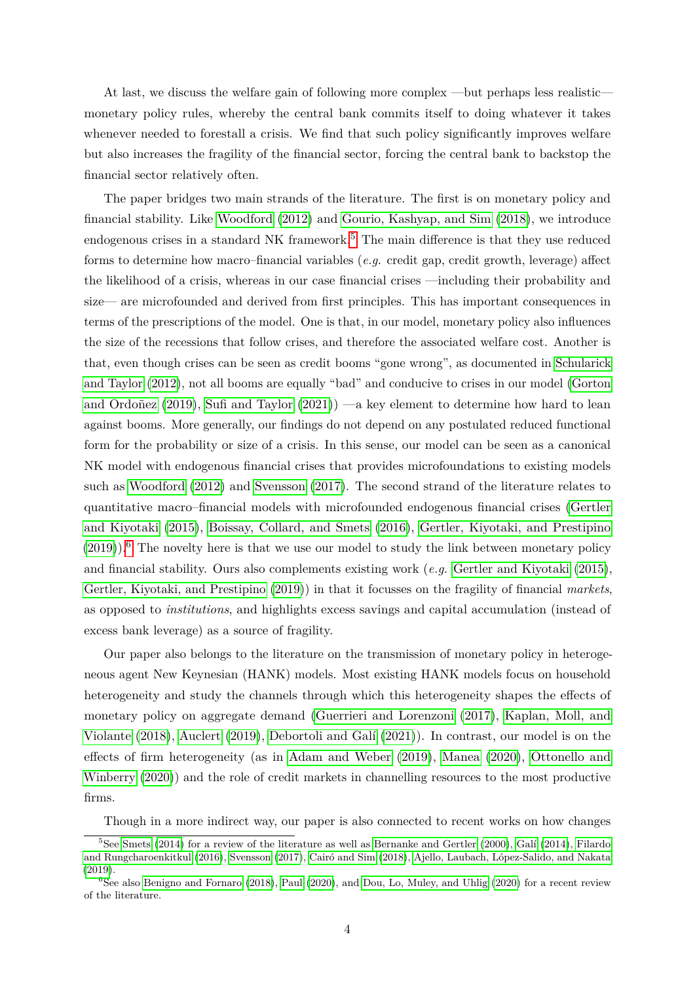At last, we discuss the welfare gain of following more complex —but perhaps less realistic monetary policy rules, whereby the central bank commits itself to doing whatever it takes whenever needed to forestall a crisis. We find that such policy significantly improves welfare but also increases the fragility of the financial sector, forcing the central bank to backstop the financial sector relatively often.

The paper bridges two main strands of the literature. The first is on monetary policy and financial stability. Like [Woodford](#page-27-3) [\(2012\)](#page-27-3) and [Gourio, Kashyap, and Sim](#page-25-2) [\(2018\)](#page-25-2), we introduce endogenous crises in a standard NK framework.<sup>[5](#page-3-0)</sup> The main difference is that they use reduced forms to determine how macro–financial variables (*e.g.* credit gap, credit growth, leverage) affect the likelihood of a crisis, whereas in our case financial crises —including their probability and size— are microfounded and derived from first principles. This has important consequences in terms of the prescriptions of the model. One is that, in our model, monetary policy also influences the size of the recessions that follow crises, and therefore the associated welfare cost. Another is that, even though crises can be seen as credit booms "gone wrong", as documented in [Schularick](#page-27-4) [and Taylor](#page-27-4) [\(2012\)](#page-27-4), not all booms are equally "bad" and conducive to crises in our model [\(Gorton](#page-25-3) and Ordoñez [\(2019\)](#page-25-3), [Sufi and Taylor](#page-27-5)  $(2021)$ ) —a key element to determine how hard to lean against booms. More generally, our findings do not depend on any postulated reduced functional form for the probability or size of a crisis. In this sense, our model can be seen as a canonical NK model with endogenous financial crises that provides microfoundations to existing models such as [Woodford](#page-27-3) [\(2012\)](#page-27-3) and [Svensson](#page-27-6) [\(2017\)](#page-27-6). The second strand of the literature relates to quantitative macro–financial models with microfounded endogenous financial crises [\(Gertler](#page-25-4) [and Kiyotaki](#page-25-4) [\(2015\)](#page-25-4), [Boissay, Collard, and Smets](#page-24-0) [\(2016\)](#page-24-0), [Gertler, Kiyotaki, and Prestipino](#page-25-5)  $(2019)$ .<sup>[6](#page-3-1)</sup> The novelty here is that we use our model to study the link between monetary policy and financial stability. Ours also complements existing work (*e.g.* [Gertler and Kiyotaki](#page-25-4) [\(2015\)](#page-25-4), [Gertler, Kiyotaki, and Prestipino](#page-25-5) [\(2019\)](#page-25-5)) in that it focusses on the fragility of financial *markets*, as opposed to *institutions*, and highlights excess savings and capital accumulation (instead of excess bank leverage) as a source of fragility.

Our paper also belongs to the literature on the transmission of monetary policy in heterogeneous agent New Keynesian (HANK) models. Most existing HANK models focus on household heterogeneity and study the channels through which this heterogeneity shapes the effects of monetary policy on aggregate demand [\(Guerrieri and Lorenzoni](#page-26-3) [\(2017\)](#page-26-3), [Kaplan, Moll, and](#page-26-4) [Violante](#page-26-4) [\(2018\)](#page-26-4), [Auclert](#page-24-1) [\(2019\)](#page-24-1), [Debortoli and Gal´ı](#page-25-6) [\(2021\)](#page-25-6)). In contrast, our model is on the effects of firm heterogeneity (as in [Adam and Weber](#page-24-2) [\(2019\)](#page-24-2), [Manea](#page-26-5) [\(2020\)](#page-26-5), [Ottonello and](#page-26-6) [Winberry](#page-26-6) [\(2020\)](#page-26-6)) and the role of credit markets in channelling resources to the most productive firms.

<span id="page-3-0"></span>Though in a more indirect way, our paper is also connected to recent works on how changes

 $5$ See [Smets](#page-27-7) [\(2014\)](#page-25-7) for a review of the literature as well as [Bernanke and Gertler](#page-24-3) [\(2000\)](#page-24-3), Galí (2014), [Filardo](#page-25-8) [and Rungcharoenkitkul](#page-25-8) [\(2016\)](#page-25-8), [Svensson](#page-27-6) [\(2017\)](#page-27-6), Cairó and Sim [\(2018\)](#page-24-4), Ajello, Laubach, López-Salido, and Nakata [\(2019\)](#page-24-5).

<span id="page-3-1"></span> $6$ See also [Benigno and Fornaro](#page-24-6) [\(2018\)](#page-24-6), [Paul](#page-26-7) [\(2020\)](#page-25-9), and [Dou, Lo, Muley, and Uhlig](#page-25-9) (2020) for a recent review of the literature.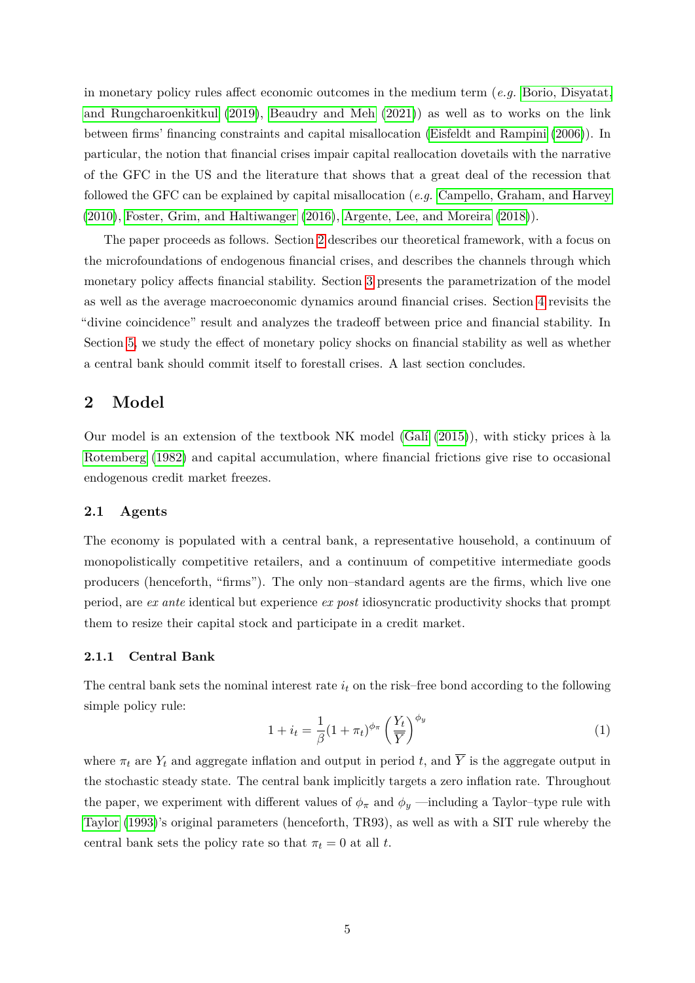in monetary policy rules affect economic outcomes in the medium term (*e.g.* [Borio, Disyatat,](#page-24-7) [and Rungcharoenkitkul](#page-24-7) [\(2019\)](#page-24-7), [Beaudry and Meh](#page-24-8) [\(2021\)](#page-24-8)) as well as to works on the link between firms' financing constraints and capital misallocation [\(Eisfeldt and Rampini](#page-25-10) [\(2006\)](#page-25-10)). In particular, the notion that financial crises impair capital reallocation dovetails with the narrative of the GFC in the US and the literature that shows that a great deal of the recession that followed the GFC can be explained by capital misallocation (*e.g.* [Campello, Graham, and Harvey](#page-24-9) [\(2010\)](#page-24-9), [Foster, Grim, and Haltiwanger](#page-25-11) [\(2016\)](#page-25-11), [Argente, Lee, and Moreira](#page-24-10) [\(2018\)](#page-24-10)).

The paper proceeds as follows. Section [2](#page-4-0) describes our theoretical framework, with a focus on the microfoundations of endogenous financial crises, and describes the channels through which monetary policy affects financial stability. Section [3](#page-13-0) presents the parametrization of the model as well as the average macroeconomic dynamics around financial crises. Section [4](#page-16-0) revisits the "divine coincidence" result and analyzes the tradeoff between price and financial stability. In Section [5,](#page-19-0) we study the effect of monetary policy shocks on financial stability as well as whether a central bank should commit itself to forestall crises. A last section concludes.

# <span id="page-4-0"></span>**2 Model**

Our model is an extension of the textbook NK model  $(Galif (2015))$  $(Galif (2015))$  $(Galif (2015))$ , with sticky prices à la [Rotemberg](#page-26-8) [\(1982\)](#page-26-8) and capital accumulation, where financial frictions give rise to occasional endogenous credit market freezes.

### **2.1 Agents**

The economy is populated with a central bank, a representative household, a continuum of monopolistically competitive retailers, and a continuum of competitive intermediate goods producers (henceforth, "firms"). The only non–standard agents are the firms, which live one period, are *ex ante* identical but experience *ex post* idiosyncratic productivity shocks that prompt them to resize their capital stock and participate in a credit market.

### **2.1.1 Central Bank**

The central bank sets the nominal interest rate *i<sup>t</sup>* on the risk–free bond according to the following simple policy rule:

<span id="page-4-1"></span>
$$
1 + i_t = \frac{1}{\beta} (1 + \pi_t)^{\phi_\pi} \left(\frac{Y_t}{\overline{Y}}\right)^{\phi_y} \tag{1}
$$

where  $\pi_t$  are  $Y_t$  and aggregate inflation and output in period t, and  $\overline{Y}$  is the aggregate output in the stochastic steady state. The central bank implicitly targets a zero inflation rate. Throughout the paper, we experiment with different values of  $\phi_{\pi}$  and  $\phi_{y}$  —including a Taylor–type rule with [Taylor](#page-27-8) [\(1993\)](#page-27-8)'s original parameters (henceforth, TR93), as well as with a SIT rule whereby the central bank sets the policy rate so that  $\pi_t = 0$  at all *t*.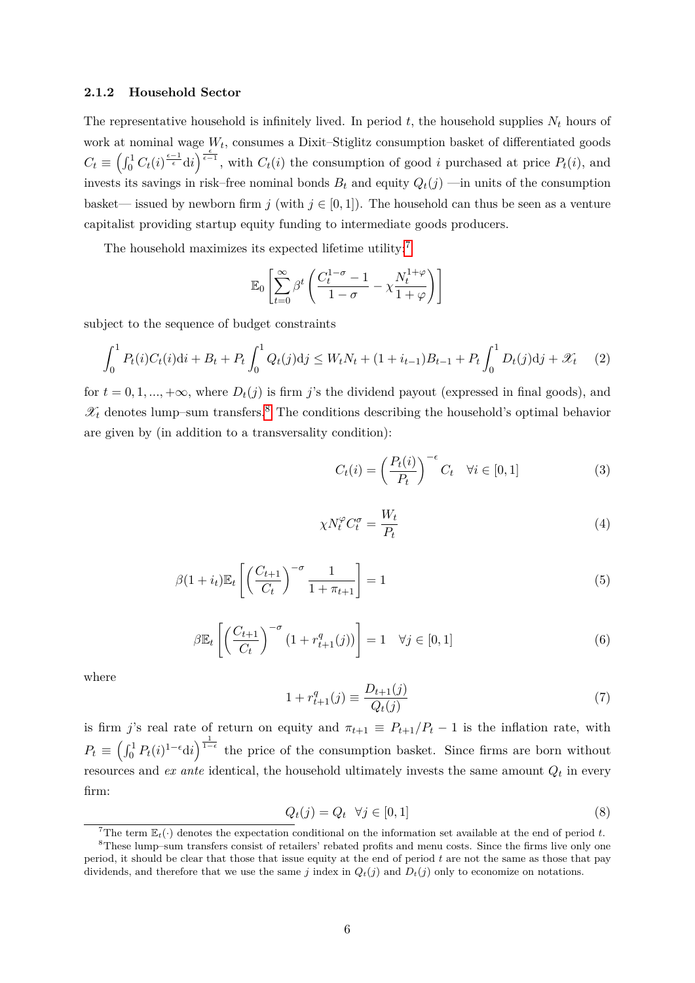#### **2.1.2 Household Sector**

The representative household is infinitely lived. In period  $t$ , the household supplies  $N_t$  hours of work at nominal wage  $W_t$ , consumes a Dixit-Stiglitz consumption basket of differentiated goods  $C_t \equiv \left(\int_0^1 C_t(i)^{\frac{\epsilon-1}{\epsilon}} \mathrm{d}i\right)^{\frac{\epsilon}{\epsilon-1}}$ , with  $C_t(i)$  the consumption of good *i* purchased at price  $P_t(i)$ , and invests its savings in risk–free nominal bonds  $B_t$  and equity  $Q_t(j)$  —in units of the consumption basket— issued by newborn firm  $j$  (with  $j \in [0,1]$ ). The household can thus be seen as a venture capitalist providing startup equity funding to intermediate goods producers.

The household maximizes its expected lifetime utility: $7$ 

$$
\mathbb{E}_0 \left[ \sum_{t=0}^{\infty} \beta^t \left( \frac{C_t^{1-\sigma} - 1}{1-\sigma} - \chi \frac{N_t^{1+\varphi}}{1+\varphi} \right) \right]
$$

subject to the sequence of budget constraints

<span id="page-5-2"></span>
$$
\int_0^1 P_t(i)C_t(i)di + B_t + P_t \int_0^1 Q_t(j)dj \le W_t N_t + (1 + i_{t-1})B_{t-1} + P_t \int_0^1 D_t(j)dj + \mathcal{X}_t \tag{2}
$$

for  $t = 0, 1, \ldots, +\infty$ , where  $D_t(j)$  is firm *j*'s the dividend payout (expressed in final goods), and  $\mathscr{X}_t$  denotes lump–sum transfers.<sup>[8](#page-5-1)</sup> The conditions describing the household's optimal behavior are given by (in addition to a transversality condition):

$$
C_t(i) = \left(\frac{P_t(i)}{P_t}\right)^{-\epsilon} C_t \quad \forall i \in [0, 1]
$$
 (3)

$$
\chi N_t^{\varphi} C_t^{\sigma} = \frac{W_t}{P_t} \tag{4}
$$

$$
\beta(1+i_t)\mathbb{E}_t\left[\left(\frac{C_{t+1}}{C_t}\right)^{-\sigma}\frac{1}{1+\pi_{t+1}}\right] = 1\tag{5}
$$

$$
\beta \mathbb{E}_t \left[ \left( \frac{C_{t+1}}{C_t} \right)^{-\sigma} \left( 1 + r_{t+1}^q(j) \right) \right] = 1 \quad \forall j \in [0, 1]
$$
\n
$$
(6)
$$

where

<span id="page-5-3"></span>
$$
1 + r_{t+1}^q(j) \equiv \frac{D_{t+1}(j)}{Q_t(j)}\tag{7}
$$

is firm *j*'s real rate of return on equity and  $\pi_{t+1} \equiv P_{t+1}/P_t - 1$  is the inflation rate, with  $P_t \equiv \left(\int_0^1 P_t(i)^{1-\epsilon} \mathrm{d}i\right)^{\frac{1}{1-\epsilon}}$  the price of the consumption basket. Since firms are born without resources and *ex ante* identical, the household ultimately invests the same amount *Q<sup>t</sup>* in every firm:

<span id="page-5-4"></span>
$$
Q_t(j) = Q_t \quad \forall j \in [0, 1] \tag{8}
$$

<span id="page-5-1"></span><span id="page-5-0"></span><sup>7</sup>The term  $\mathbb{E}_t(\cdot)$  denotes the expectation conditional on the information set available at the end of period *t*.

<sup>8</sup>These lump–sum transfers consist of retailers' rebated profits and menu costs. Since the firms live only one period, it should be clear that those that issue equity at the end of period *t* are not the same as those that pay dividends, and therefore that we use the same *j* index in  $Q_t(j)$  and  $D_t(j)$  only to economize on notations.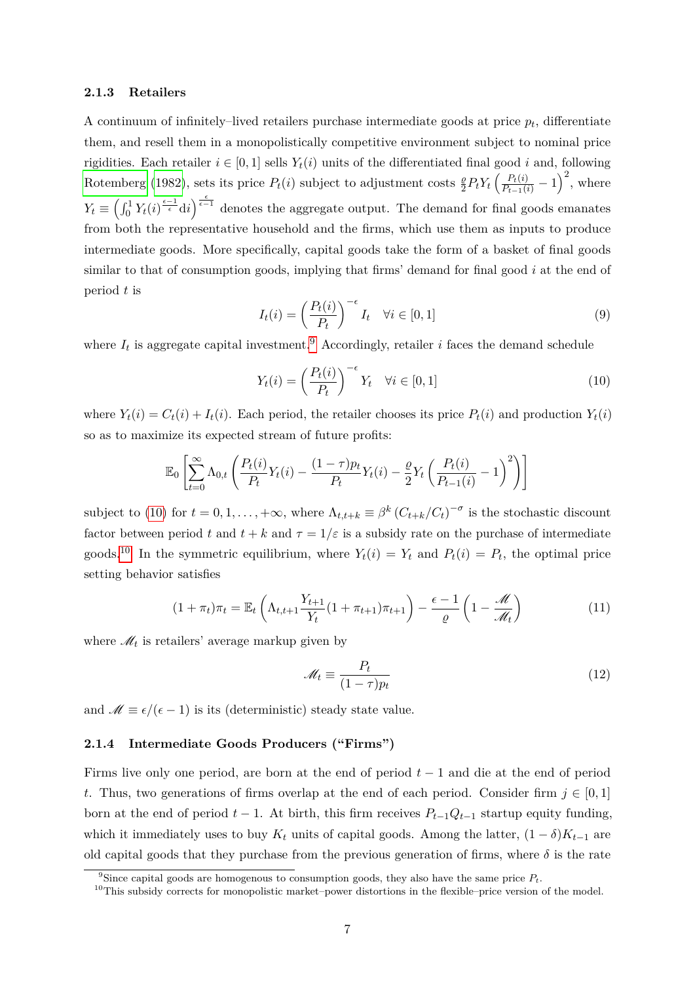### **2.1.3 Retailers**

A continuum of infinitely–lived retailers purchase intermediate goods at price *p<sup>t</sup>* , differentiate them, and resell them in a monopolistically competitive environment subject to nominal price rigidities. Each retailer  $i \in [0, 1]$  sells  $Y_t(i)$  units of the differentiated final good *i* and, following [Rotemberg](#page-26-8) [\(1982\)](#page-26-8), sets its price  $P_t(i)$  subject to adjustment costs  $\frac{\varrho}{2} P_t Y_t \left( \frac{P_t(i)}{P_{t-1}(i)} - 1 \right)^2$ , where  $Y_t \equiv \left(\int_0^1 Y_t(i)^{\frac{\epsilon-1}{\epsilon}} \mathrm{d}i\right)^{\frac{\epsilon}{\epsilon-1}}$  denotes the aggregate output. The demand for final goods emanates from both the representative household and the firms, which use them as inputs to produce intermediate goods. More specifically, capital goods take the form of a basket of final goods similar to that of consumption goods, implying that firms' demand for final good *i* at the end of period *t* is

$$
I_t(i) = \left(\frac{P_t(i)}{P_t}\right)^{-\epsilon} I_t \quad \forall i \in [0, 1]
$$
\n
$$
(9)
$$

where  $I_t$  is aggregate capital investment.<sup>[9](#page-6-0)</sup> Accordingly, retailer *i* faces the demand schedule

<span id="page-6-1"></span>
$$
Y_t(i) = \left(\frac{P_t(i)}{P_t}\right)^{-\epsilon} Y_t \quad \forall i \in [0, 1]
$$
\n
$$
(10)
$$

where  $Y_t(i) = C_t(i) + I_t(i)$ . Each period, the retailer chooses its price  $P_t(i)$  and production  $Y_t(i)$ so as to maximize its expected stream of future profits:

$$
\mathbb{E}_0 \left[ \sum_{t=0}^{\infty} \Lambda_{0,t} \left( \frac{P_t(i)}{P_t} Y_t(i) - \frac{(1-\tau)p_t}{P_t} Y_t(i) - \frac{\varrho}{2} Y_t \left( \frac{P_t(i)}{P_{t-1}(i)} - 1 \right)^2 \right) \right]
$$

subject to [\(10\)](#page-6-1) for  $t = 0, 1, \ldots, +\infty$ , where  $\Lambda_{t,t+k} \equiv \beta^k (C_{t+k}/C_t)^{-\sigma}$  is the stochastic discount factor between period *t* and  $t + k$  and  $\tau = 1/\varepsilon$  is a subsidy rate on the purchase of intermediate goods.<sup>[10](#page-6-2)</sup> In the symmetric equilibrium, where  $Y_t(i) = Y_t$  and  $P_t(i) = P_t$ , the optimal price setting behavior satisfies

$$
(1+\pi_t)\pi_t = \mathbb{E}_t\left(\Lambda_{t,t+1}\frac{Y_{t+1}}{Y_t}(1+\pi_{t+1})\pi_{t+1}\right) - \frac{\epsilon-1}{\varrho}\left(1-\frac{\mathscr{M}}{\mathscr{M}_t}\right) \tag{11}
$$

where  $\mathcal{M}_t$  is retailers' average markup given by

<span id="page-6-3"></span>
$$
\mathcal{M}_t \equiv \frac{P_t}{(1-\tau)p_t} \tag{12}
$$

and  $\mathcal{M} \equiv \epsilon/(\epsilon - 1)$  is its (deterministic) steady state value.

### **2.1.4 Intermediate Goods Producers ("Firms")**

Firms live only one period, are born at the end of period *t* − 1 and die at the end of period *t*. Thus, two generations of firms overlap at the end of each period. Consider firm  $j \in [0,1]$ born at the end of period  $t - 1$ . At birth, this firm receives  $P_{t-1}Q_{t-1}$  startup equity funding, which it immediately uses to buy  $K_t$  units of capital goods. Among the latter,  $(1 - \delta)K_{t-1}$  are old capital goods that they purchase from the previous generation of firms, where  $\delta$  is the rate

<span id="page-6-0"></span><sup>&</sup>lt;sup>9</sup>Since capital goods are homogenous to consumption goods, they also have the same price  $P_t$ .

<span id="page-6-2"></span><sup>&</sup>lt;sup>10</sup>This subsidy corrects for monopolistic market–power distortions in the flexible–price version of the model.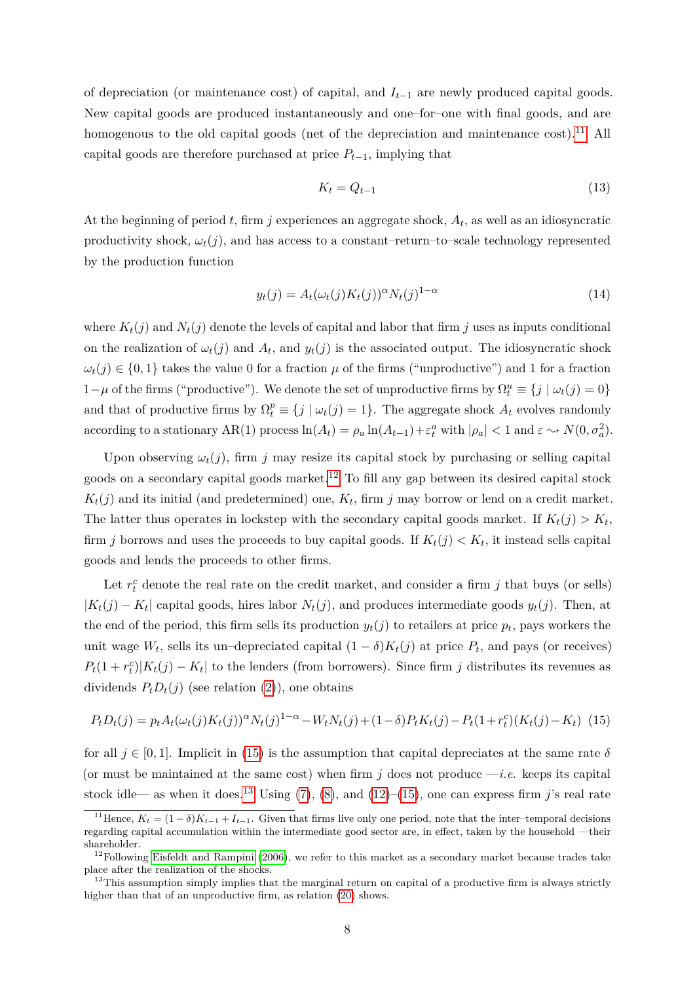of depreciation (or maintenance cost) of capital, and *It*−<sup>1</sup> are newly produced capital goods. New capital goods are produced instantaneously and one–for–one with final goods, and are homogenous to the old capital goods (net of the depreciation and maintenance  $\cosh$ ).<sup>[11](#page-7-0)</sup> All capital goods are therefore purchased at price  $P_{t-1}$ , implying that

$$
K_t = Q_{t-1} \tag{13}
$$

At the beginning of period *t*, firm *j* experiences an aggregate shock, *A<sup>t</sup>* , as well as an idiosyncratic productivity shock,  $\omega_t(j)$ , and has access to a constant–return–to–scale technology represented by the production function

<span id="page-7-4"></span>
$$
y_t(j) = A_t(\omega_t(j)K_t(j))^{\alpha} N_t(j)^{1-\alpha} \tag{14}
$$

where  $K_t(j)$  and  $N_t(j)$  denote the levels of capital and labor that firm *j* uses as inputs conditional on the realization of  $\omega_t(j)$  and  $A_t$ , and  $y_t(j)$  is the associated output. The idiosyncratic shock  $\omega_t(j) \in \{0,1\}$  takes the value 0 for a fraction  $\mu$  of the firms ("unproductive") and 1 for a fraction 1−*μ* of the firms ("productive"). We denote the set of unproductive firms by  $Ω_t^u$   $\equiv$  {*j* |  $ω_t(j) = 0$ } and that of productive firms by  $\Omega_t^p \equiv \{j \mid \omega_t(j) = 1\}$ . The aggregate shock  $A_t$  evolves randomly according to a stationary  $AR(1)$  process  $\ln(A_t) = \rho_a \ln(A_{t-1}) + \varepsilon_t^a$  with  $|\rho_a| < 1$  and  $\varepsilon \to N(0, \sigma_a^2)$ .

Upon observing  $\omega_t(j)$ , firm *j* may resize its capital stock by purchasing or selling capital goods on a secondary capital goods market.<sup>[12](#page-7-1)</sup> To fill any gap between its desired capital stock  $K_t(j)$  and its initial (and predetermined) one,  $K_t$ , firm *j* may borrow or lend on a credit market. The latter thus operates in lockstep with the secondary capital goods market. If  $K_t(j) > K_t$ , firm *j* borrows and uses the proceeds to buy capital goods. If  $K_t(j) < K_t$ , it instead sells capital goods and lends the proceeds to other firms.

Let  $r_t^c$  denote the real rate on the credit market, and consider a firm  $j$  that buys (or sells)  $|K_t(j) - K_t|$  capital goods, hires labor  $N_t(j)$ , and produces intermediate goods  $y_t(j)$ . Then, at the end of the period, this firm sells its production  $y_t(j)$  to retailers at price  $p_t$ , pays workers the unit wage  $W_t$ , sells its un–depreciated capital  $(1 - \delta)K_t(j)$  at price  $P_t$ , and pays (or receives)  $P_t(1 + r_t^c)|K_t(j) - K_t|$  to the lenders (from borrowers). Since firm *j* distributes its revenues as dividends  $P_t D_t(j)$  (see relation [\(2\)](#page-5-2)), one obtains

<span id="page-7-2"></span>
$$
P_t D_t(j) = p_t A_t(\omega_t(j) K_t(j))^{\alpha} N_t(j)^{1-\alpha} - W_t N_t(j) + (1-\delta) P_t K_t(j) - P_t(1+r_t^c) (K_t(j) - K_t)
$$
 (15)

for all  $j \in [0, 1]$ . Implicit in [\(15\)](#page-7-2) is the assumption that capital depreciates at the same rate  $\delta$ (or must be maintained at the same cost) when firm  $j$  does not produce  $-i.e.$  keeps its capital stock idle— as when it does.<sup>[13](#page-7-3)</sup> Using [\(7\)](#page-5-3), [\(8\)](#page-5-4), and [\(12\)](#page-6-3)–[\(15\)](#page-7-2), one can express firm *j*'s real rate

<span id="page-7-0"></span><sup>&</sup>lt;sup>11</sup>Hence,  $K_t = (1 - \delta)K_{t-1} + I_{t-1}$ . Given that firms live only one period, note that the inter-temporal decisions regarding capital accumulation within the intermediate good sector are, in effect, taken by the household —their shareholder.

<span id="page-7-1"></span> $12$ Following [Eisfeldt and Rampini](#page-25-10) [\(2006\)](#page-25-10), we refer to this market as a secondary market because trades take place after the realization of the shocks.

<span id="page-7-3"></span> $13$ This assumption simply implies that the marginal return on capital of a productive firm is always strictly higher than that of an unproductive firm, as relation  $(20)$  shows.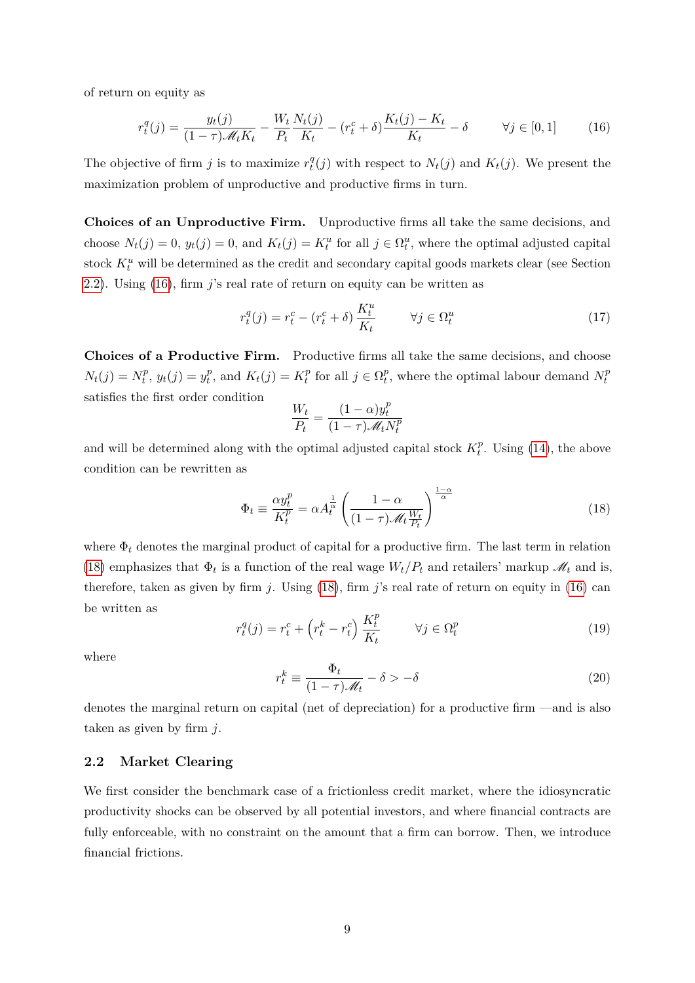of return on equity as

<span id="page-8-2"></span>
$$
r_t^q(j) = \frac{y_t(j)}{(1-\tau)\mathcal{M}_t K_t} - \frac{W_t}{P_t} \frac{N_t(j)}{K_t} - (r_t^c + \delta) \frac{K_t(j) - K_t}{K_t} - \delta \qquad \forall j \in [0, 1]
$$
 (16)

The objective of firm *j* is to maximize  $r_t^q$  $f_t^q(j)$  with respect to  $N_t(j)$  and  $K_t(j)$ . We present the maximization problem of unproductive and productive firms in turn.

**Choices of an Unproductive Firm.** Unproductive firms all take the same decisions, and choose  $N_t(j) = 0$ ,  $y_t(j) = 0$ , and  $K_t(j) = K_t^u$  for all  $j \in \Omega_t^u$ , where the optimal adjusted capital stock  $K_t^u$  will be determined as the credit and secondary capital goods markets clear (see Section [2.2\)](#page-8-1). Using [\(16\)](#page-8-2), firm *j*'s real rate of return on equity can be written as

<span id="page-8-5"></span>
$$
r_t^q(j) = r_t^c - (r_t^c + \delta) \frac{K_t^u}{K_t} \qquad \forall j \in \Omega_t^u \tag{17}
$$

**Choices of a Productive Firm.** Productive firms all take the same decisions, and choose  $N_t(j) = N_t^p$  $y_t^p$ ,  $y_t(j) = y_t^p$  $t_t^p$ , and  $K_t(j) = K_t^p$  $t_t^p$  for all  $j \in \Omega_t^p$  $t_t^p$ , where the optimal labour demand  $N_t^p$ *t* satisfies the first order condition *p*

$$
\frac{W_t}{P_t} = \frac{(1-\alpha)y_t^p}{(1-\tau)\mathscr{M}_t N_t^p}
$$

and will be determined along with the optimal adjusted capital stock  $K_t^p$  $t^p$ . Using  $(14)$ , the above condition can be rewritten as

<span id="page-8-3"></span>
$$
\Phi_t \equiv \frac{\alpha y_t^p}{K_t^p} = \alpha A_t^{\frac{1}{\alpha}} \left( \frac{1 - \alpha}{(1 - \tau) \mathcal{M}_t \frac{W_t}{P_t}} \right)^{\frac{1 - \alpha}{\alpha}}
$$
(18)

where  $\Phi_t$  denotes the marginal product of capital for a productive firm. The last term in relation [\(18\)](#page-8-3) emphasizes that  $\Phi_t$  is a function of the real wage  $W_t/P_t$  and retailers' markup  $\mathcal{M}_t$  and is, therefore, taken as given by firm *j*. Using [\(18\)](#page-8-3), firm *j*'s real rate of return on equity in [\(16\)](#page-8-2) can be written as

<span id="page-8-4"></span>
$$
r_t^q(j) = r_t^c + \left(r_t^k - r_t^c\right) \frac{K_t^p}{K_t} \qquad \forall j \in \Omega_t^p \tag{19}
$$

where

<span id="page-8-0"></span>
$$
r_t^k \equiv \frac{\Phi_t}{(1-\tau)\mathscr{M}_t} - \delta > -\delta \tag{20}
$$

denotes the marginal return on capital (net of depreciation) for a productive firm —and is also taken as given by firm *j*.

### <span id="page-8-1"></span>**2.2 Market Clearing**

We first consider the benchmark case of a frictionless credit market, where the idiosyncratic productivity shocks can be observed by all potential investors, and where financial contracts are fully enforceable, with no constraint on the amount that a firm can borrow. Then, we introduce financial frictions.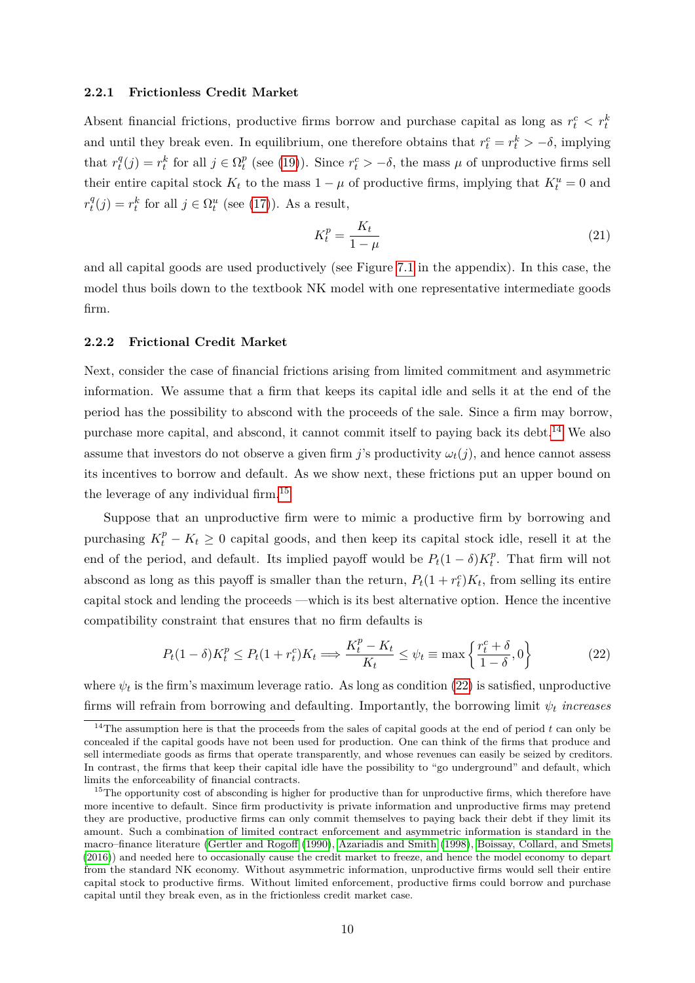### <span id="page-9-4"></span>**2.2.1 Frictionless Credit Market**

Absent financial frictions, productive firms borrow and purchase capital as long as  $r_t^c < r_t^k$ and until they break even. In equilibrium, one therefore obtains that  $r_t^c = r_t^k > -\delta$ , implying that  $r_t^q$  $t^q(t) = r^k_t$  for all  $j \in \Omega_t^p$  $t_t$ <sup>*t*</sup> (see [\(19\)](#page-8-4)). Since  $r_t^c > -\delta$ , the mass  $\mu$  of unproductive firms sell their entire capital stock  $K_t$  to the mass  $1 - \mu$  of productive firms, implying that  $K_t^u = 0$  and  $r_t^q$  $t_i^q(j) = r_t^k$  for all  $j \in \Omega_t^u$  (see [\(17\)](#page-8-5)). As a result,

<span id="page-9-3"></span>
$$
K_t^p = \frac{K_t}{1 - \mu} \tag{21}
$$

and all capital goods are used productively (see Figure [7.1](#page-28-0) in the appendix). In this case, the model thus boils down to the textbook NK model with one representative intermediate goods firm.

### **2.2.2 Frictional Credit Market**

Next, consider the case of financial frictions arising from limited commitment and asymmetric information. We assume that a firm that keeps its capital idle and sells it at the end of the period has the possibility to abscond with the proceeds of the sale. Since a firm may borrow, purchase more capital, and abscond, it cannot commit itself to paying back its debt.<sup>[14](#page-9-0)</sup> We also assume that investors do not observe a given firm *j*'s productivity  $\omega_t(j)$ , and hence cannot assess its incentives to borrow and default. As we show next, these frictions put an upper bound on the leverage of any individual firm.[15](#page-9-1)

Suppose that an unproductive firm were to mimic a productive firm by borrowing and purchasing  $K_t^p - K_t \geq 0$  capital goods, and then keep its capital stock idle, resell it at the end of the period, and default. Its implied payoff would be  $P_t(1 - \delta)K_t^p$  $t^p$ . That firm will not abscond as long as this payoff is smaller than the return,  $P_t(1 + r_t^c)K_t$ , from selling its entire capital stock and lending the proceeds —which is its best alternative option. Hence the incentive compatibility constraint that ensures that no firm defaults is

<span id="page-9-2"></span>
$$
P_t(1-\delta)K_t^p \le P_t(1+r_t^c)K_t \Longrightarrow \frac{K_t^p - K_t}{K_t} \le \psi_t \equiv \max\left\{\frac{r_t^c + \delta}{1-\delta}, 0\right\} \tag{22}
$$

where  $\psi_t$  is the firm's maximum leverage ratio. As long as condition  $(22)$  is satisfied, unproductive firms will refrain from borrowing and defaulting. Importantly, the borrowing limit *ψ<sup>t</sup> increases*

<span id="page-9-0"></span><sup>&</sup>lt;sup>14</sup>The assumption here is that the proceeds from the sales of capital goods at the end of period  $t$  can only be concealed if the capital goods have not been used for production. One can think of the firms that produce and sell intermediate goods as firms that operate transparently, and whose revenues can easily be seized by creditors. In contrast, the firms that keep their capital idle have the possibility to "go underground" and default, which limits the enforceability of financial contracts.

<span id="page-9-1"></span> $15$ The opportunity cost of absconding is higher for productive than for unproductive firms, which therefore have more incentive to default. Since firm productivity is private information and unproductive firms may pretend they are productive, productive firms can only commit themselves to paying back their debt if they limit its amount. Such a combination of limited contract enforcement and asymmetric information is standard in the macro–finance literature [\(Gertler and Rogoff](#page-25-13) [\(1990\)](#page-25-13), [Azariadis and Smith](#page-24-11) [\(1998\)](#page-24-11), [Boissay, Collard, and Smets](#page-24-0) [\(2016\)](#page-24-0)) and needed here to occasionally cause the credit market to freeze, and hence the model economy to depart from the standard NK economy. Without asymmetric information, unproductive firms would sell their entire capital stock to productive firms. Without limited enforcement, productive firms could borrow and purchase capital until they break even, as in the frictionless credit market case.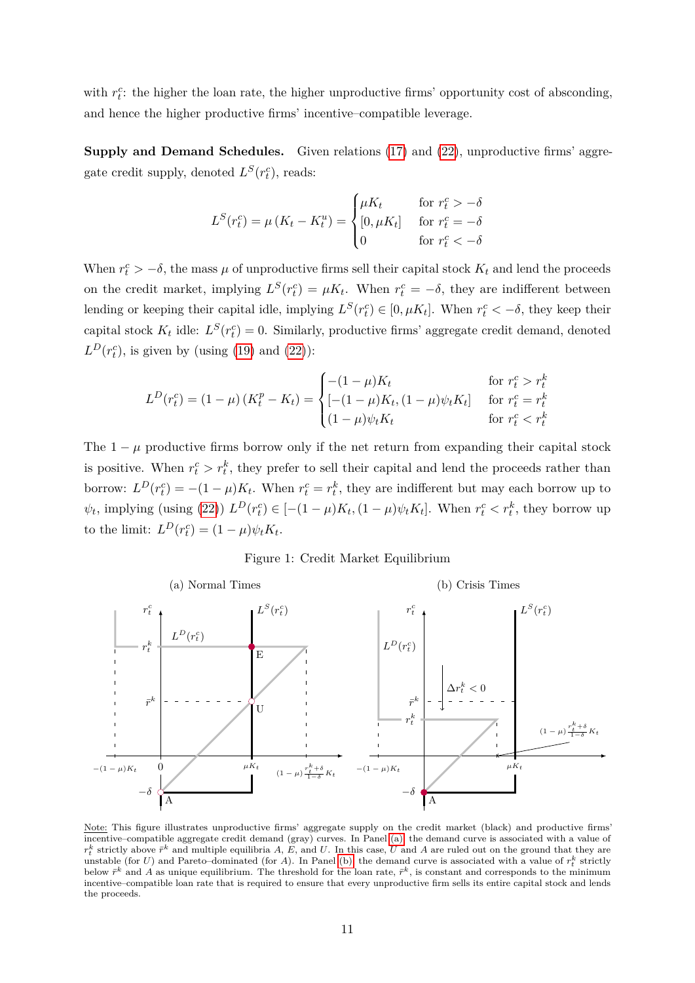with  $r_t^c$ : the higher the loan rate, the higher unproductive firms' opportunity cost of absconding, and hence the higher productive firms' incentive–compatible leverage.

**Supply and Demand Schedules.** Given relations [\(17\)](#page-8-5) and [\(22\)](#page-9-2), unproductive firms' aggregate credit supply, denoted  $L^S(r_t^c)$ , reads:

$$
L^{S}(r_{t}^{c}) = \mu (K_{t} - K_{t}^{u}) = \begin{cases} \mu K_{t} & \text{for } r_{t}^{c} > -\delta \\ [0, \mu K_{t}] & \text{for } r_{t}^{c} = -\delta \\ 0 & \text{for } r_{t}^{c} < -\delta \end{cases}
$$

When  $r_t^c > -\delta$ , the mass  $\mu$  of unproductive firms sell their capital stock  $K_t$  and lend the proceeds on the credit market, implying  $L^S(r_t^c) = \mu K_t$ . When  $r_t^c = -\delta$ , they are indifferent between lending or keeping their capital idle, implying  $L^S(r_t^c) \in [0, \mu K_t]$ . When  $r_t^c < -\delta$ , they keep their capital stock  $K_t$  idle:  $L^S(r_t^c) = 0$ . Similarly, productive firms' aggregate credit demand, denoted  $L^D(r_t^c)$ , is given by (using [\(19\)](#page-8-4) and [\(22\)](#page-9-2)):

$$
L^{D}(r_{t}^{c}) = (1 - \mu)(K_{t}^{p} - K_{t}) = \begin{cases} -(1 - \mu)K_{t} & \text{for } r_{t}^{c} > r_{t}^{k} \\ [-(1 - \mu)K_{t}, (1 - \mu)\psi_{t}K_{t}] & \text{for } r_{t}^{c} = r_{t}^{k} \\ (1 - \mu)\psi_{t}K_{t} & \text{for } r_{t}^{c} < r_{t}^{k} \end{cases}
$$

The  $1 - \mu$  productive firms borrow only if the net return from expanding their capital stock is positive. When  $r_t^c > r_t^k$ , they prefer to sell their capital and lend the proceeds rather than borrow:  $L^D(r_t^c) = -(1 - \mu)K_t$ . When  $r_t^c = r_t^k$ , they are indifferent but may each borrow up to  $\psi_t$ , implying (using [\(22\)](#page-9-2))  $L^D(r_t^c) \in [-(1-\mu)K_t, (1-\mu)\psi_t K_t]$ . When  $r_t^c < r_t^k$ , they borrow up to the limit:  $L^D(r_t^c) = (1 - \mu)\psi_t K_t$ .

Figure 1: Credit Market Equilibrium

<span id="page-10-0"></span>

Note: This figure illustrates unproductive firms' aggregate supply on the credit market (black) and productive firms' incentive–compatible aggregate credit demand (gray) curves. In Panel [\(a\),](#page-10-0) the demand curve is associated with a value of  $r_t^k$  strictly above  $\bar{r}^k$  and multiple equilibria *A*, *E*, and *U*. In this case, *U* and *A* are ruled out on the ground that they are unstable (for *U*) and Pareto–dominated (for *A*). In Panel [\(b\),](#page-10-0) the demand curve is associated with a value of  $r_t^k$  strictly below  $\bar{r}^k$  and A as unique equilibrium. The threshold for the loan rate,  $\bar{r}^k$ , is constant and corresponds to the minimum incentive–compatible loan rate that is required to ensure that every unproductive firm sells its entire capital stock and lends the proceeds.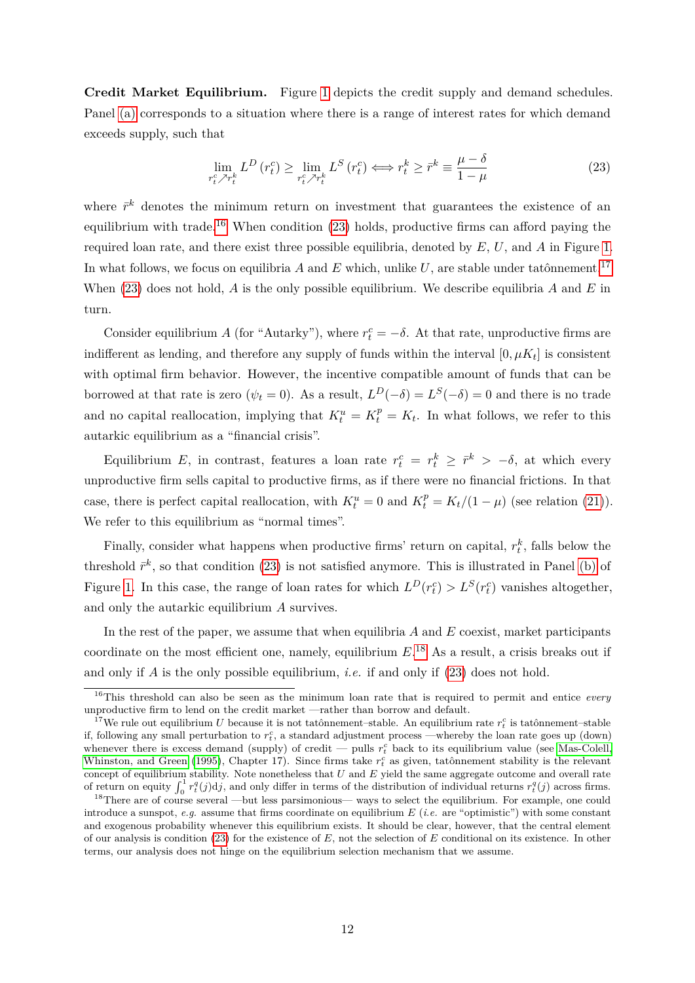**Credit Market Equilibrium.** Figure [1](#page-10-0) depicts the credit supply and demand schedules. Panel [\(a\)](#page-10-0) corresponds to a situation where there is a range of interest rates for which demand exceeds supply, such that

<span id="page-11-1"></span>
$$
\lim_{r_t^c \nearrow r_t^k} L^D\left(r_t^c\right) \ge \lim_{r_t^c \nearrow r_t^k} L^S\left(r_t^c\right) \Longleftrightarrow r_t^k \ge \bar{r}^k \equiv \frac{\mu - \delta}{1 - \mu} \tag{23}
$$

where  $\bar{r}^k$  denotes the minimum return on investment that guarantees the existence of an equilibrium with trade.<sup>[16](#page-11-0)</sup> When condition  $(23)$  holds, productive firms can afford paying the required loan rate, and there exist three possible equilibria, denoted by *E*, *U*, and *A* in Figure [1.](#page-10-0) In what follows, we focus on equilibria  $A$  and  $E$  which, unlike  $U$ , are stable under tatônnement.<sup>[17](#page-11-2)</sup> When [\(23\)](#page-11-1) does not hold, *A* is the only possible equilibrium. We describe equilibria *A* and *E* in turn.

Consider equilibrium *A* (for "Autarky"), where  $r_t^c = -\delta$ . At that rate, unproductive firms are indifferent as lending, and therefore any supply of funds within the interval  $[0, \mu K_t]$  is consistent with optimal firm behavior. However, the incentive compatible amount of funds that can be borrowed at that rate is zero  $(\psi_t = 0)$ . As a result,  $L^D(-\delta) = L^S(-\delta) = 0$  and there is no trade and no capital reallocation, implying that  $K_t^u = K_t^p = K_t$ . In what follows, we refer to this autarkic equilibrium as a "financial crisis".

Equilibrium *E*, in contrast, features a loan rate  $r_t^c = r_t^k \geq \overline{r}^k > -\delta$ , at which every unproductive firm sells capital to productive firms, as if there were no financial frictions. In that case, there is perfect capital reallocation, with  $K_t^u = 0$  and  $K_t^p = K_t/(1 - \mu)$  (see relation [\(21\)](#page-9-3)). We refer to this equilibrium as "normal times".

Finally, consider what happens when productive firms' return on capital,  $r_t^k$ , falls below the threshold  $\bar{r}^k$ , so that condition [\(23\)](#page-11-1) is not satisfied anymore. This is illustrated in Panel [\(b\)](#page-10-0) of Figure [1.](#page-10-0) In this case, the range of loan rates for which  $L^D(r_t^c) > L^S(r_t^c)$  vanishes altogether, and only the autarkic equilibrium *A* survives.

In the rest of the paper, we assume that when equilibria *A* and *E* coexist, market participants coordinate on the most efficient one, namely, equilibrium  $E^{18}$  $E^{18}$  $E^{18}$ . As a result, a crisis breaks out if and only if *A* is the only possible equilibrium, *i.e.* if and only if [\(23\)](#page-11-1) does not hold.

<span id="page-11-0"></span><sup>16</sup>This threshold can also be seen as the minimum loan rate that is required to permit and entice *every* unproductive firm to lend on the credit market —rather than borrow and default.

<span id="page-11-2"></span><sup>&</sup>lt;sup>17</sup>We rule out equilibrium *U* because it is not tatônnement–stable. An equilibrium rate  $r_t^c$  is tatônnement–stable if, following any small perturbation to  $r_t^c$ , a standard adjustment process —whereby the loan rate goes up (down) whenever there is excess demand (supply) of credit — pulls  $r_t^c$  back to its equilibrium value (see [Mas-Colell,](#page-26-9) [Whinston, and Green](#page-26-9) [\(1995\)](#page-26-9), Chapter 17). Since firms take  $r_t^c$  as given, tatônnement stability is the relevant concept of equilibrium stability. Note nonetheless that U and E yield the same aggregate outcome and overall rate<br>of return on equity  $\int_0^1 r_t^q(j) d j$ , and only differ in terms of the distribution of individual returns  $r$ 

<span id="page-11-3"></span><sup>&</sup>lt;sup>18</sup>There are of course several —but less parsimonious— ways to select the equilibrium. For example, one could introduce a sunspot, *e.g.* assume that firms coordinate on equilibrium *E* (*i.e.* are "optimistic") with some constant and exogenous probability whenever this equilibrium exists. It should be clear, however, that the central element of our analysis is condition [\(23\)](#page-11-1) for the existence of *E*, not the selection of *E* conditional on its existence. In other terms, our analysis does not hinge on the equilibrium selection mechanism that we assume.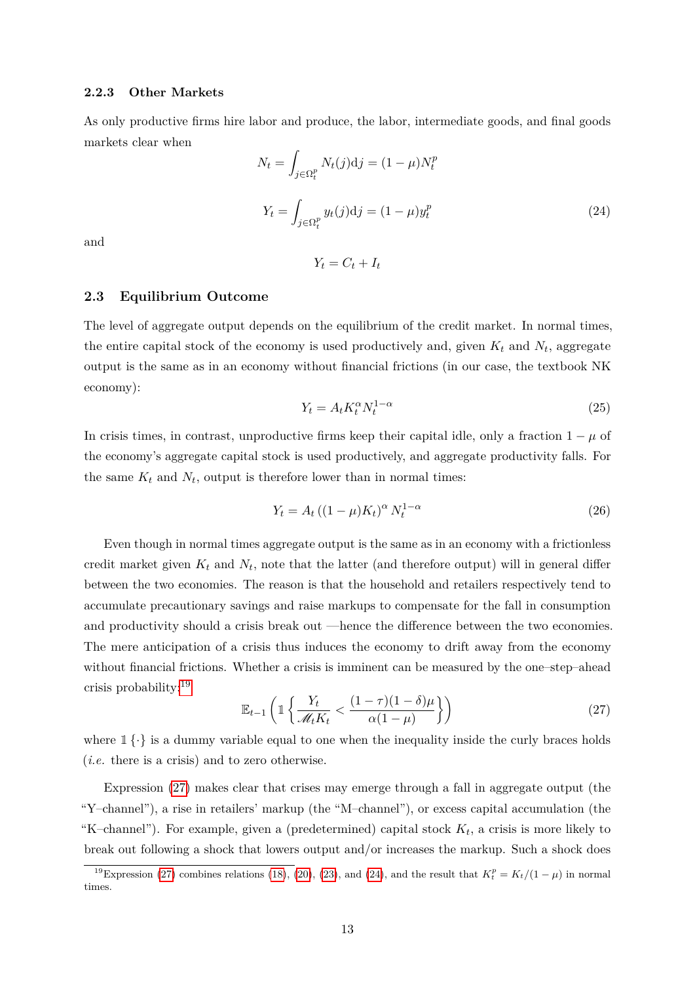### **2.2.3 Other Markets**

As only productive firms hire labor and produce, the labor, intermediate goods, and final goods markets clear when

<span id="page-12-2"></span>
$$
N_t = \int_{j \in \Omega_t^p} N_t(j) \mathrm{d}j = (1 - \mu) N_t^p
$$
  

$$
Y_t = \int_{j \in \Omega_t^p} y_t(j) \mathrm{d}j = (1 - \mu) y_t^p
$$
 (24)

and

 $Y_t = C_t + I_t$ 

### **2.3 Equilibrium Outcome**

The level of aggregate output depends on the equilibrium of the credit market. In normal times, the entire capital stock of the economy is used productively and, given  $K_t$  and  $N_t$ , aggregate output is the same as in an economy without financial frictions (in our case, the textbook NK economy):

$$
Y_t = A_t K_t^{\alpha} N_t^{1-\alpha} \tag{25}
$$

In crisis times, in contrast, unproductive firms keep their capital idle, only a fraction  $1 - \mu$  of the economy's aggregate capital stock is used productively, and aggregate productivity falls. For the same  $K_t$  and  $N_t$ , output is therefore lower than in normal times:

$$
Y_t = A_t \left( (1 - \mu) K_t \right)^\alpha N_t^{1 - \alpha} \tag{26}
$$

Even though in normal times aggregate output is the same as in an economy with a frictionless credit market given  $K_t$  and  $N_t$ , note that the latter (and therefore output) will in general differ between the two economies. The reason is that the household and retailers respectively tend to accumulate precautionary savings and raise markups to compensate for the fall in consumption and productivity should a crisis break out —hence the difference between the two economies. The mere anticipation of a crisis thus induces the economy to drift away from the economy without financial frictions. Whether a crisis is imminent can be measured by the one–step–ahead crisis probability:[19](#page-12-0)

<span id="page-12-1"></span>
$$
\mathbb{E}_{t-1}\left(\mathbb{1}\left\{\frac{Y_t}{\mathcal{M}_t K_t} < \frac{(1-\tau)(1-\delta)\mu}{\alpha(1-\mu)}\right\}\right) \tag{27}
$$

where  $1\{\cdot\}$  is a dummy variable equal to one when the inequality inside the curly braces holds (*i.e.* there is a crisis) and to zero otherwise.

Expression [\(27\)](#page-12-1) makes clear that crises may emerge through a fall in aggregate output (the "Y–channel"), a rise in retailers' markup (the "M–channel"), or excess capital accumulation (the "K–channel"). For example, given a (predetermined) capital stock  $K_t$ , a crisis is more likely to break out following a shock that lowers output and/or increases the markup. Such a shock does

<span id="page-12-0"></span><sup>&</sup>lt;sup>19</sup>Expression [\(27\)](#page-12-1) combines relations [\(18\)](#page-8-3), [\(20\)](#page-8-0), [\(23\)](#page-11-1), and [\(24\)](#page-12-2), and the result that  $K_t^p = K_t/(1 - \mu)$  in normal times.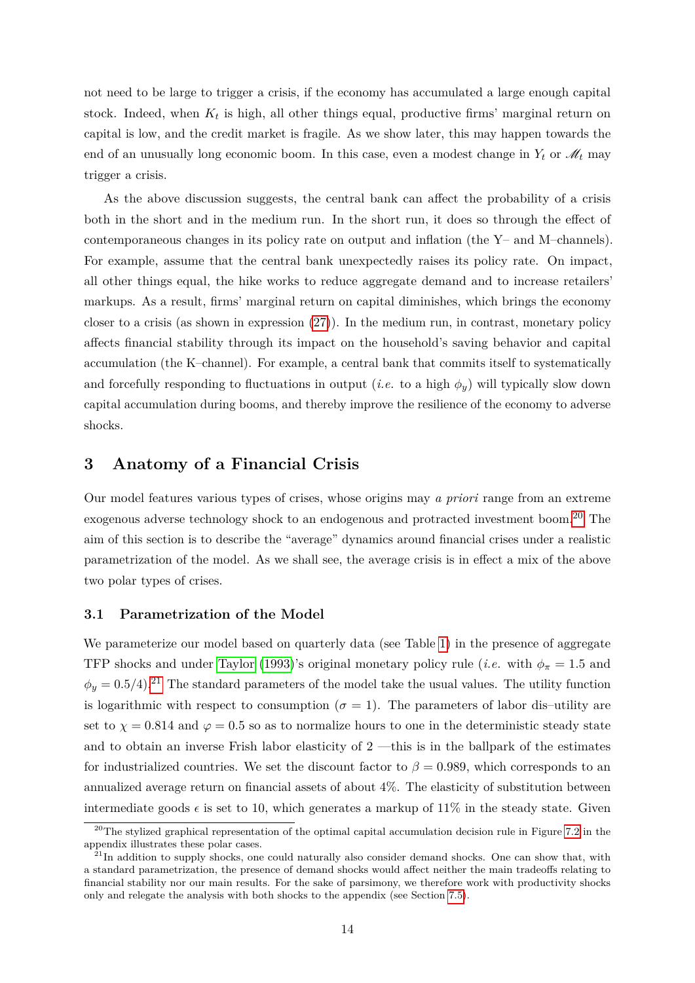not need to be large to trigger a crisis, if the economy has accumulated a large enough capital stock. Indeed, when *K<sup>t</sup>* is high, all other things equal, productive firms' marginal return on capital is low, and the credit market is fragile. As we show later, this may happen towards the end of an unusually long economic boom. In this case, even a modest change in  $Y_t$  or  $\mathcal{M}_t$  may trigger a crisis.

As the above discussion suggests, the central bank can affect the probability of a crisis both in the short and in the medium run. In the short run, it does so through the effect of contemporaneous changes in its policy rate on output and inflation (the Y– and M–channels). For example, assume that the central bank unexpectedly raises its policy rate. On impact, all other things equal, the hike works to reduce aggregate demand and to increase retailers' markups. As a result, firms' marginal return on capital diminishes, which brings the economy closer to a crisis (as shown in expression  $(27)$ ). In the medium run, in contrast, monetary policy affects financial stability through its impact on the household's saving behavior and capital accumulation (the K–channel). For example, a central bank that commits itself to systematically and forcefully responding to fluctuations in output (*i.e.* to a high  $\phi_y$ ) will typically slow down capital accumulation during booms, and thereby improve the resilience of the economy to adverse shocks.

### <span id="page-13-0"></span>**3 Anatomy of a Financial Crisis**

Our model features various types of crises, whose origins may *a priori* range from an extreme exogenous adverse technology shock to an endogenous and protracted investment boom.[20](#page-13-1) The aim of this section is to describe the "average" dynamics around financial crises under a realistic parametrization of the model. As we shall see, the average crisis is in effect a mix of the above two polar types of crises.

### <span id="page-13-3"></span>**3.1 Parametrization of the Model**

We parameterize our model based on quarterly data (see Table [1\)](#page-14-0) in the presence of aggregate TFP shocks and under [Taylor](#page-27-8) [\(1993\)](#page-27-8)'s original monetary policy rule (*i.e.* with  $\phi_{\pi} = 1.5$  and  $\phi_y = 0.5/4$ .<sup>[21](#page-13-2)</sup> The standard parameters of the model take the usual values. The utility function is logarithmic with respect to consumption ( $\sigma = 1$ ). The parameters of labor dis–utility are set to  $\chi = 0.814$  and  $\varphi = 0.5$  so as to normalize hours to one in the deterministic steady state and to obtain an inverse Frish labor elasticity of 2 —this is in the ballpark of the estimates for industrialized countries. We set the discount factor to  $\beta = 0.989$ , which corresponds to an annualized average return on financial assets of about 4%. The elasticity of substitution between intermediate goods  $\epsilon$  is set to 10, which generates a markup of 11% in the steady state. Given

<span id="page-13-1"></span><sup>&</sup>lt;sup>20</sup>The stylized graphical representation of the optimal capital accumulation decision rule in Figure [7.2](#page-29-0) in the appendix illustrates these polar cases.

<span id="page-13-2"></span> $^{21}$ In addition to supply shocks, one could naturally also consider demand shocks. One can show that, with a standard parametrization, the presence of demand shocks would affect neither the main tradeoffs relating to financial stability nor our main results. For the sake of parsimony, we therefore work with productivity shocks only and relegate the analysis with both shocks to the appendix (see Section [7.5\)](#page-31-0).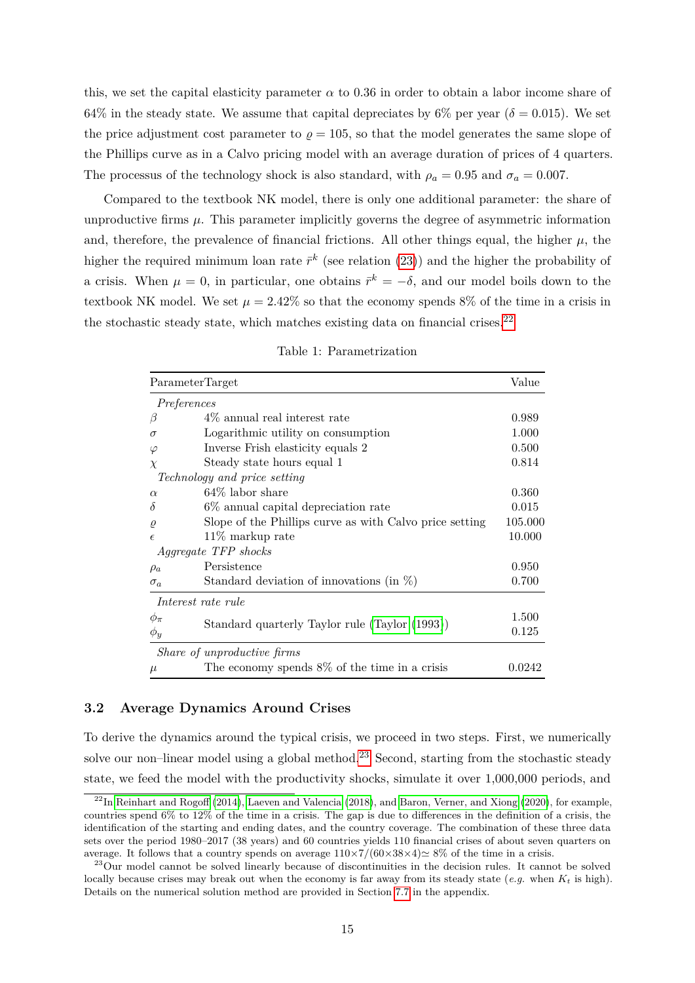this, we set the capital elasticity parameter  $\alpha$  to 0.36 in order to obtain a labor income share of 64% in the steady state. We assume that capital depreciates by 6% per year ( $\delta = 0.015$ ). We set the price adjustment cost parameter to  $\rho = 105$ , so that the model generates the same slope of the Phillips curve as in a Calvo pricing model with an average duration of prices of 4 quarters. The processus of the technology shock is also standard, with  $\rho_a = 0.95$  and  $\sigma_a = 0.007$ .

Compared to the textbook NK model, there is only one additional parameter: the share of unproductive firms  $\mu$ . This parameter implicitly governs the degree of asymmetric information and, therefore, the prevalence of financial frictions. All other things equal, the higher  $\mu$ , the higher the required minimum loan rate  $\bar{r}^k$  (see relation [\(23\)](#page-11-1)) and the higher the probability of a crisis. When  $\mu = 0$ , in particular, one obtains  $\bar{r}^k = -\delta$ , and our model boils down to the textbook NK model. We set  $\mu = 2.42\%$  so that the economy spends 8% of the time in a crisis in the stochastic steady state, which matches existing data on financial crises. $22$ 

<span id="page-14-0"></span>

| ParameterTarget |                                                         |         |  |  |
|-----------------|---------------------------------------------------------|---------|--|--|
|                 | Preferences                                             |         |  |  |
| β               | $4\%$ annual real interest rate                         | 0.989   |  |  |
| $\sigma$        | Logarithmic utility on consumption                      | 1.000   |  |  |
| $\varphi$       | Inverse Frish elasticity equals 2                       | 0.500   |  |  |
| $\chi$          | Steady state hours equal 1                              | 0.814   |  |  |
|                 | <i>Technology and price setting</i>                     |         |  |  |
| $\alpha$        | $64\%$ labor share                                      | 0.360   |  |  |
| $\delta$        | 6\% annual capital depreciation rate                    | 0.015   |  |  |
| $\varrho$       | Slope of the Phillips curve as with Calvo price setting | 105.000 |  |  |
| $\epsilon$      | $11\%$ markup rate                                      | 10.000  |  |  |
|                 | <i>Aggregate TFP shocks</i>                             |         |  |  |
| $\rho_a$        | Persistence                                             | 0.950   |  |  |
| $\sigma_a$      | Standard deviation of innovations (in $\%$ )            | 0.700   |  |  |
|                 | Interest rate rule                                      |         |  |  |
| $\phi_{\pi}$    | Standard quarterly Taylor rule (Taylor (1993))          | 1.500   |  |  |
| $\phi_y$        |                                                         | 0.125   |  |  |
|                 | Share of unproductive firms                             |         |  |  |
| $\mu$           | The economy spends $8\%$ of the time in a crisis        | 0.0242  |  |  |

Table 1: Parametrization

### **3.2 Average Dynamics Around Crises**

To derive the dynamics around the typical crisis, we proceed in two steps. First, we numerically solve our non–linear model using a global method.<sup>[23](#page-14-2)</sup> Second, starting from the stochastic steady state, we feed the model with the productivity shocks, simulate it over 1,000,000 periods, and

<span id="page-14-1"></span><sup>&</sup>lt;sup>22</sup>In [Reinhart and Rogoff](#page-26-10) [\(2014\)](#page-26-10), [Laeven and Valencia](#page-26-11) [\(2018\)](#page-26-11), and [Baron, Verner, and Xiong](#page-24-12) [\(2020\)](#page-24-12), for example, countries spend 6% to 12% of the time in a crisis. The gap is due to differences in the definition of a crisis, the identification of the starting and ending dates, and the country coverage. The combination of these three data sets over the period 1980–2017 (38 years) and 60 countries yields 110 financial crises of about seven quarters on average. It follows that a country spends on average  $110\times7/(60\times38\times4)\simeq8\%$  of the time in a crisis.

<span id="page-14-2"></span><sup>&</sup>lt;sup>23</sup>Our model cannot be solved linearly because of discontinuities in the decision rules. It cannot be solved locally because crises may break out when the economy is far away from its steady state (*e.g.* when *K<sup>t</sup>* is high). Details on the numerical solution method are provided in Section [7.7](#page-35-0) in the appendix.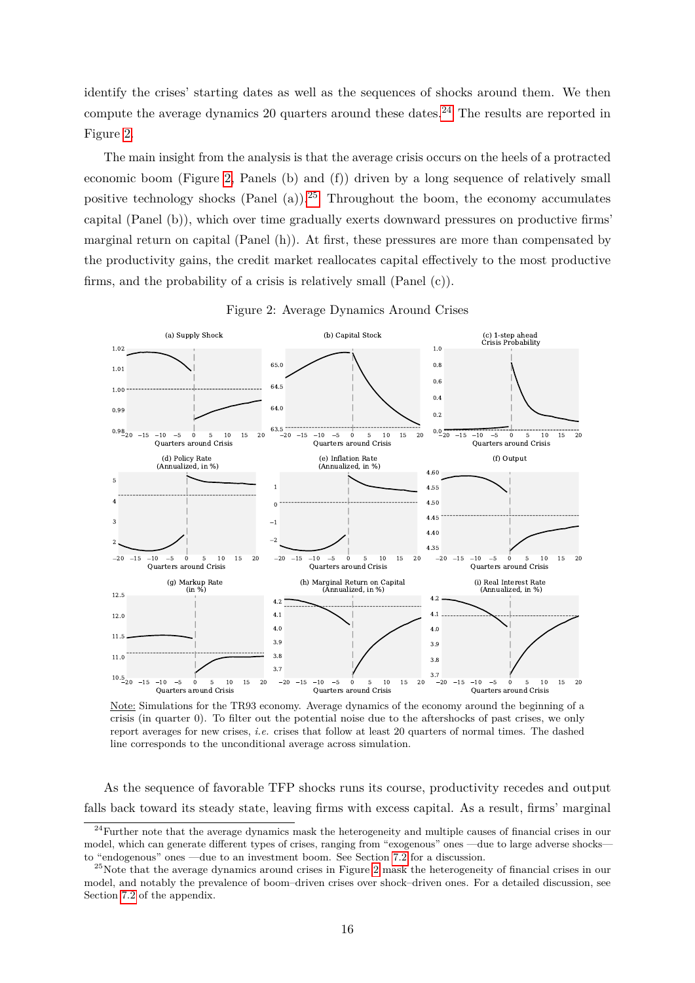identify the crises' starting dates as well as the sequences of shocks around them. We then compute the average dynamics 20 quarters around these dates.<sup>[24](#page-15-0)</sup> The results are reported in Figure [2.](#page-15-1)

The main insight from the analysis is that the average crisis occurs on the heels of a protracted economic boom (Figure [2,](#page-15-1) Panels (b) and (f)) driven by a long sequence of relatively small positive technology shocks (Panel (a)).<sup>[25](#page-15-2)</sup> Throughout the boom, the economy accumulates capital (Panel (b)), which over time gradually exerts downward pressures on productive firms' marginal return on capital (Panel (h)). At first, these pressures are more than compensated by the productivity gains, the credit market reallocates capital effectively to the most productive firms, and the probability of a crisis is relatively small (Panel (c)).

<span id="page-15-1"></span>

Figure 2: Average Dynamics Around Crises

Note: Simulations for the TR93 economy. Average dynamics of the economy around the beginning of a crisis (in quarter 0). To filter out the potential noise due to the aftershocks of past crises, we only report averages for new crises, *i.e.* crises that follow at least 20 quarters of normal times. The dashed line corresponds to the unconditional average across simulation.

As the sequence of favorable TFP shocks runs its course, productivity recedes and output falls back toward its steady state, leaving firms with excess capital. As a result, firms' marginal

<span id="page-15-0"></span><sup>&</sup>lt;sup>24</sup>Further note that the average dynamics mask the heterogeneity and multiple causes of financial crises in our model, which can generate different types of crises, ranging from "exogenous" ones —due to large adverse shocks to "endogenous" ones —due to an investment boom. See Section [7.2](#page-28-1) for a discussion.

<span id="page-15-2"></span><sup>&</sup>lt;sup>25</sup>Note that the average dynamics around crises in Figure [2](#page-15-1) mask the heterogeneity of financial crises in our model, and notably the prevalence of boom–driven crises over shock–driven ones. For a detailed discussion, see Section [7.2](#page-28-1) of the appendix.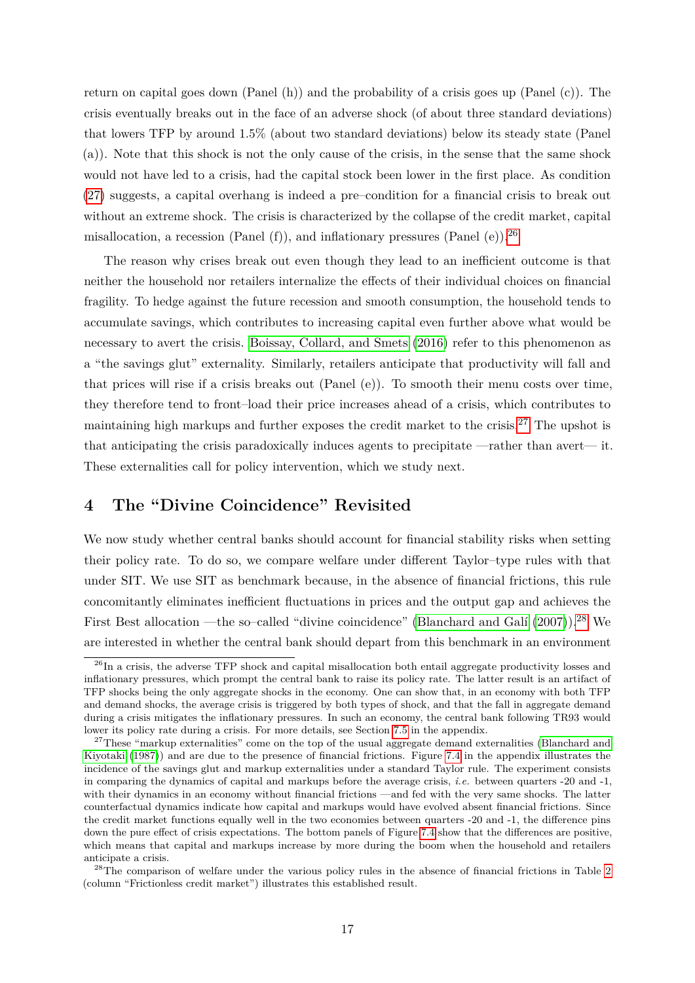return on capital goes down (Panel (h)) and the probability of a crisis goes up (Panel (c)). The crisis eventually breaks out in the face of an adverse shock (of about three standard deviations) that lowers TFP by around 1.5% (about two standard deviations) below its steady state (Panel (a)). Note that this shock is not the only cause of the crisis, in the sense that the same shock would not have led to a crisis, had the capital stock been lower in the first place. As condition [\(27\)](#page-12-1) suggests, a capital overhang is indeed a pre–condition for a financial crisis to break out without an extreme shock. The crisis is characterized by the collapse of the credit market, capital misallocation, a recession (Panel  $(f)$ ), and inflationary pressures (Panel  $(e)$ ).<sup>[26](#page-16-1)</sup>

The reason why crises break out even though they lead to an inefficient outcome is that neither the household nor retailers internalize the effects of their individual choices on financial fragility. To hedge against the future recession and smooth consumption, the household tends to accumulate savings, which contributes to increasing capital even further above what would be necessary to avert the crisis. [Boissay, Collard, and Smets](#page-24-0) [\(2016\)](#page-24-0) refer to this phenomenon as a "the savings glut" externality. Similarly, retailers anticipate that productivity will fall and that prices will rise if a crisis breaks out (Panel (e)). To smooth their menu costs over time, they therefore tend to front–load their price increases ahead of a crisis, which contributes to maintaining high markups and further exposes the credit market to the crisis.[27](#page-16-2) The upshot is that anticipating the crisis paradoxically induces agents to precipitate —rather than avert— it. These externalities call for policy intervention, which we study next.

# <span id="page-16-0"></span>**4 The "Divine Coincidence" Revisited**

We now study whether central banks should account for financial stability risks when setting their policy rate. To do so, we compare welfare under different Taylor–type rules with that under SIT. We use SIT as benchmark because, in the absence of financial frictions, this rule concomitantly eliminates inefficient fluctuations in prices and the output gap and achieves the First Best allocation —the so–called "divine coincidence" (Blanchard and Galí  $(2007)$ ).<sup>[28](#page-16-3)</sup> We are interested in whether the central bank should depart from this benchmark in an environment

<span id="page-16-1"></span><sup>&</sup>lt;sup>26</sup>In a crisis, the adverse TFP shock and capital misallocation both entail aggregate productivity losses and inflationary pressures, which prompt the central bank to raise its policy rate. The latter result is an artifact of TFP shocks being the only aggregate shocks in the economy. One can show that, in an economy with both TFP and demand shocks, the average crisis is triggered by both types of shock, and that the fall in aggregate demand during a crisis mitigates the inflationary pressures. In such an economy, the central bank following TR93 would lower its policy rate during a crisis. For more details, see Section [7.5](#page-31-0) in the appendix.

<span id="page-16-2"></span><sup>&</sup>lt;sup>27</sup>These "markup externalities" come on the top of the usual aggregate demand externalities [\(Blanchard and](#page-24-14) [Kiyotaki](#page-24-14) [\(1987\)](#page-24-14)) and are due to the presence of financial frictions. Figure [7.4](#page-30-0) in the appendix illustrates the incidence of the savings glut and markup externalities under a standard Taylor rule. The experiment consists in comparing the dynamics of capital and markups before the average crisis, *i.e.* between quarters -20 and -1, with their dynamics in an economy without financial frictions —and fed with the very same shocks. The latter counterfactual dynamics indicate how capital and markups would have evolved absent financial frictions. Since the credit market functions equally well in the two economies between quarters -20 and -1, the difference pins down the pure effect of crisis expectations. The bottom panels of Figure [7.4](#page-30-0) show that the differences are positive, which means that capital and markups increase by more during the boom when the household and retailers anticipate a crisis.

<span id="page-16-3"></span><sup>&</sup>lt;sup>28</sup>The comparison of welfare under the various policy rules in the absence of financial frictions in Table [2](#page-17-0) (column "Frictionless credit market") illustrates this established result.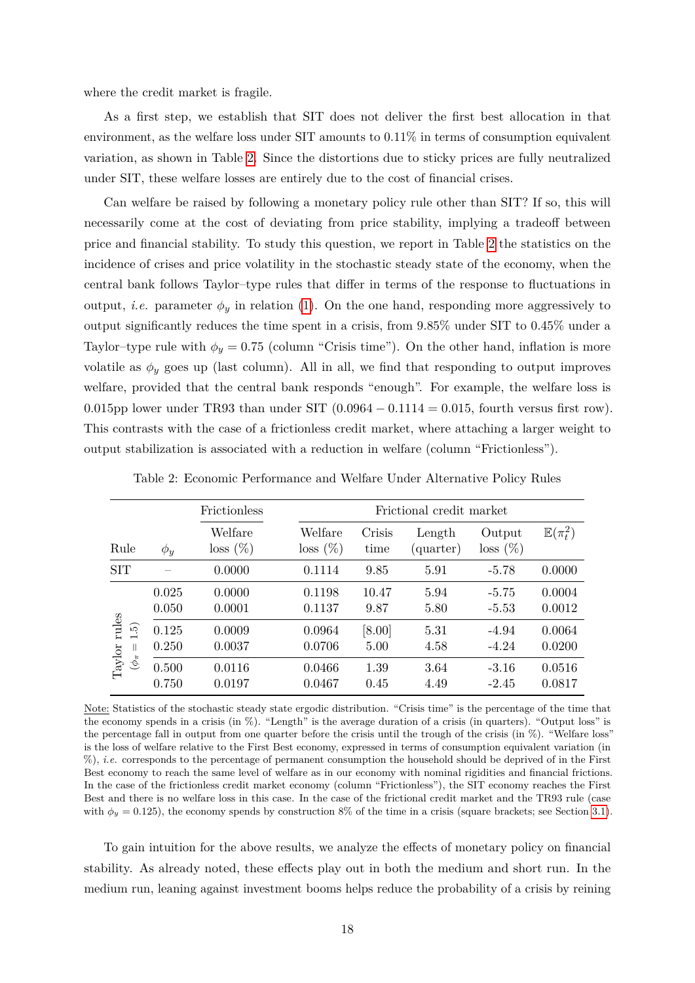where the credit market is fragile.

As a first step, we establish that SIT does not deliver the first best allocation in that environment, as the welfare loss under  $SIT$  amounts to  $0.11\%$  in terms of consumption equivalent variation, as shown in Table [2.](#page-17-0) Since the distortions due to sticky prices are fully neutralized under SIT, these welfare losses are entirely due to the cost of financial crises.

Can welfare be raised by following a monetary policy rule other than SIT? If so, this will necessarily come at the cost of deviating from price stability, implying a tradeoff between price and financial stability. To study this question, we report in Table [2](#page-17-0) the statistics on the incidence of crises and price volatility in the stochastic steady state of the economy, when the central bank follows Taylor–type rules that differ in terms of the response to fluctuations in output, *i.e.* parameter  $\phi_y$  in relation [\(1\)](#page-4-1). On the one hand, responding more aggressively to output significantly reduces the time spent in a crisis, from 9.85% under SIT to 0.45% under a Taylor–type rule with  $\phi_y = 0.75$  (column "Crisis time"). On the other hand, inflation is more volatile as  $\phi_y$  goes up (last column). All in all, we find that responding to output improves welfare, provided that the central bank responds "enough". For example, the welfare loss is 0.015pp lower under TR93 than under SIT (0*.*0964 − 0*.*1114 = 0*.*015, fourth versus first row). This contrasts with the case of a frictionless credit market, where attaching a larger weight to output stabilization is associated with a reduction in welfare (column "Frictionless").

<span id="page-17-0"></span>

|                                                                                    |                | Frictionless           | Frictional credit market |                |                     |                       |                       |
|------------------------------------------------------------------------------------|----------------|------------------------|--------------------------|----------------|---------------------|-----------------------|-----------------------|
| Rule                                                                               | $\phi_y$       | Welfare<br>$loss (\%)$ | Welfare<br>$loss (\%)$   | Crisis<br>time | Length<br>(quarter) | Output<br>$loss (\%)$ | $\mathbb{E}(\pi_t^2)$ |
| <b>SIT</b>                                                                         |                | 0.0000                 | 0.1114                   | 9.85           | 5.91                | $-5.78$               | 0.0000                |
| rules<br>$\widetilde{\mathbf{5}}$<br>$\rm Taylor$<br>$\mathbf{H}$<br>$(\phi_{\pi}$ | 0.025<br>0.050 | 0.0000<br>0.0001       | 0.1198<br>0.1137         | 10.47<br>9.87  | 5.94<br>5.80        | $-5.75$<br>$-5.53$    | 0.0004<br>0.0012      |
|                                                                                    | 0.125<br>0.250 | 0.0009<br>0.0037       | 0.0964<br>0.0706         | [8.00]<br>5.00 | 5.31<br>4.58        | $-4.94$<br>$-4.24$    | 0.0064<br>0.0200      |
|                                                                                    | 0.500<br>0.750 | 0.0116<br>0.0197       | 0.0466<br>0.0467         | 1.39<br>0.45   | 3.64<br>4.49        | $-3.16$<br>$-2.45$    | 0.0516<br>0.0817      |

Table 2: Economic Performance and Welfare Under Alternative Policy Rules

Note: Statistics of the stochastic steady state ergodic distribution. "Crisis time" is the percentage of the time that the economy spends in a crisis (in %). "Length" is the average duration of a crisis (in quarters). "Output loss" is the percentage fall in output from one quarter before the crisis until the trough of the crisis (in %). "Welfare loss" is the loss of welfare relative to the First Best economy, expressed in terms of consumption equivalent variation (in %), *i.e.* corresponds to the percentage of permanent consumption the household should be deprived of in the First Best economy to reach the same level of welfare as in our economy with nominal rigidities and financial frictions. In the case of the frictionless credit market economy (column "Frictionless"), the SIT economy reaches the First Best and there is no welfare loss in this case. In the case of the frictional credit market and the TR93 rule (case with  $\phi_y = 0.125$ ), the economy spends by construction 8% of the time in a crisis (square brackets; see Section [3.1\)](#page-13-3).

To gain intuition for the above results, we analyze the effects of monetary policy on financial stability. As already noted, these effects play out in both the medium and short run. In the medium run, leaning against investment booms helps reduce the probability of a crisis by reining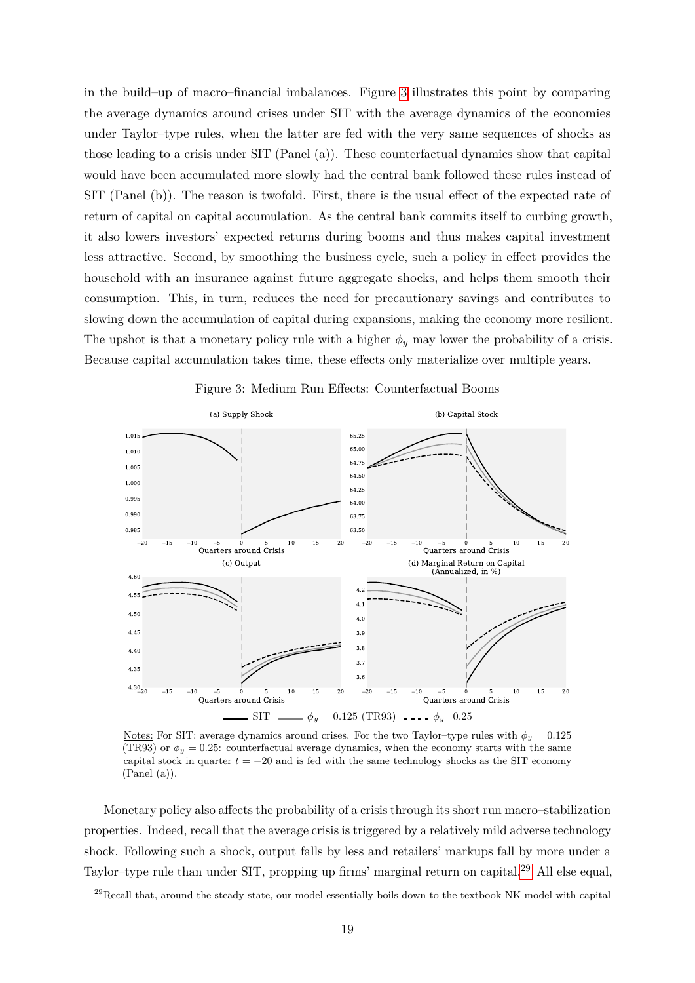in the build–up of macro–financial imbalances. Figure [3](#page-18-0) illustrates this point by comparing the average dynamics around crises under SIT with the average dynamics of the economies under Taylor–type rules, when the latter are fed with the very same sequences of shocks as those leading to a crisis under SIT (Panel (a)). These counterfactual dynamics show that capital would have been accumulated more slowly had the central bank followed these rules instead of SIT (Panel (b)). The reason is twofold. First, there is the usual effect of the expected rate of return of capital on capital accumulation. As the central bank commits itself to curbing growth, it also lowers investors' expected returns during booms and thus makes capital investment less attractive. Second, by smoothing the business cycle, such a policy in effect provides the household with an insurance against future aggregate shocks, and helps them smooth their consumption. This, in turn, reduces the need for precautionary savings and contributes to slowing down the accumulation of capital during expansions, making the economy more resilient. The upshot is that a monetary policy rule with a higher  $\phi_y$  may lower the probability of a crisis. Because capital accumulation takes time, these effects only materialize over multiple years.

<span id="page-18-0"></span>



Notes: For SIT: average dynamics around crises. For the two Taylor–type rules with  $\phi_y = 0.125$ (TR93) or  $\phi_y = 0.25$ : counterfactual average dynamics, when the economy starts with the same capital stock in quarter  $t = -20$  and is fed with the same technology shocks as the SIT economy  $( Panel (a)).$ 

Monetary policy also affects the probability of a crisis through its short run macro–stabilization properties. Indeed, recall that the average crisis is triggered by a relatively mild adverse technology shock. Following such a shock, output falls by less and retailers' markups fall by more under a Taylor–type rule than under SIT, propping up firms' marginal return on capital.[29](#page-18-1) All else equal,

<span id="page-18-1"></span><sup>&</sup>lt;sup>29</sup>Recall that, around the steady state, our model essentially boils down to the textbook NK model with capital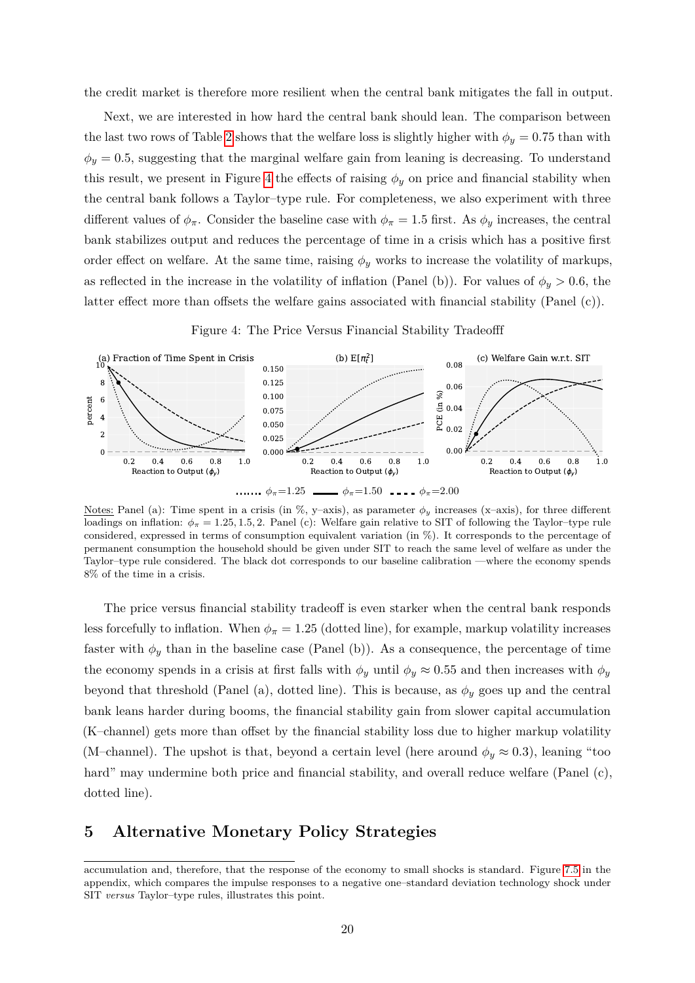the credit market is therefore more resilient when the central bank mitigates the fall in output.

Next, we are interested in how hard the central bank should lean. The comparison between the last two rows of Table [2](#page-17-0) shows that the welfare loss is slightly higher with  $\phi_y = 0.75$  than with  $\phi_y = 0.5$ , suggesting that the marginal welfare gain from leaning is decreasing. To understand this result, we present in Figure [4](#page-19-1) the effects of raising  $\phi_y$  on price and financial stability when the central bank follows a Taylor–type rule. For completeness, we also experiment with three different values of  $\phi_{\pi}$ . Consider the baseline case with  $\phi_{\pi} = 1.5$  first. As  $\phi_{y}$  increases, the central bank stabilizes output and reduces the percentage of time in a crisis which has a positive first order effect on welfare. At the same time, raising  $\phi_y$  works to increase the volatility of markups, as reflected in the increase in the volatility of inflation (Panel (b)). For values of  $\phi_y > 0.6$ , the latter effect more than offsets the welfare gains associated with financial stability (Panel (c)).

Figure 4: The Price Versus Financial Stability Tradeofff

<span id="page-19-1"></span>

Notes: Panel (a): Time spent in a crisis (in %, y–axis), as parameter  $\phi_y$  increases (x–axis), for three different loadings on inflation:  $\phi_{\pi} = 1.25, 1.5, 2$ . Panel (c): Welfare gain relative to SIT of following the Taylor–type rule considered, expressed in terms of consumption equivalent variation (in %). It corresponds to the percentage of permanent consumption the household should be given under SIT to reach the same level of welfare as under the Taylor–type rule considered. The black dot corresponds to our baseline calibration —where the economy spends 8% of the time in a crisis.

The price versus financial stability tradeoff is even starker when the central bank responds less forcefully to inflation. When  $\phi_{\pi} = 1.25$  (dotted line), for example, markup volatility increases faster with  $\phi_y$  than in the baseline case (Panel (b)). As a consequence, the percentage of time the economy spends in a crisis at first falls with  $\phi_y$  until  $\phi_y \approx 0.55$  and then increases with  $\phi_y$ beyond that threshold (Panel (a), dotted line). This is because, as  $\phi_y$  goes up and the central bank leans harder during booms, the financial stability gain from slower capital accumulation (K–channel) gets more than offset by the financial stability loss due to higher markup volatility (M–channel). The upshot is that, beyond a certain level (here around  $\phi_y \approx 0.3$ ), leaning "too hard" may undermine both price and financial stability, and overall reduce welfare (Panel  $(c)$ , dotted line).

### <span id="page-19-0"></span>**5 Alternative Monetary Policy Strategies**

accumulation and, therefore, that the response of the economy to small shocks is standard. Figure [7.5](#page-31-1) in the appendix, which compares the impulse responses to a negative one–standard deviation technology shock under SIT *versus* Taylor–type rules, illustrates this point.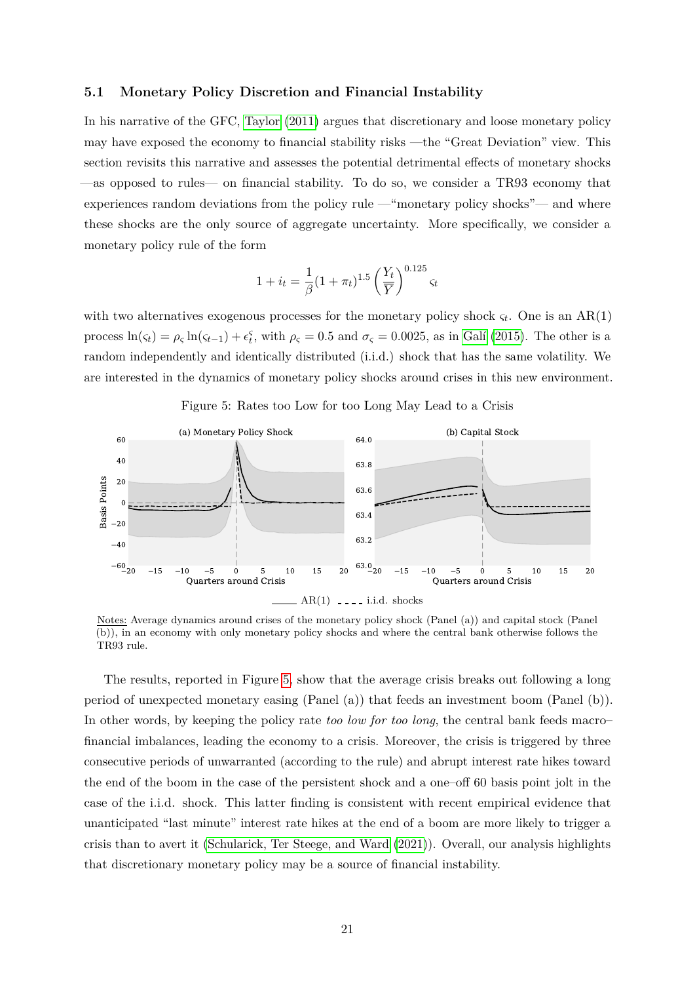### **5.1 Monetary Policy Discretion and Financial Instability**

In his narrative of the GFC, [Taylor](#page-27-1) [\(2011\)](#page-27-1) argues that discretionary and loose monetary policy may have exposed the economy to financial stability risks —the "Great Deviation" view. This section revisits this narrative and assesses the potential detrimental effects of monetary shocks —as opposed to rules— on financial stability. To do so, we consider a TR93 economy that experiences random deviations from the policy rule —"monetary policy shocks"— and where these shocks are the only source of aggregate uncertainty. More specifically, we consider a monetary policy rule of the form

$$
1 + i_t = \frac{1}{\beta} (1 + \pi_t)^{1.5} \left(\frac{Y_t}{\overline{Y}}\right)^{0.125} \varsigma_t
$$

with two alternatives exogenous processes for the monetary policy shock  $\varsigma_t$ . One is an AR(1) process  $ln(\varsigma_t) = \rho_{\varsigma} ln(\varsigma_{t-1}) + \epsilon_t^{\varsigma}$ , with  $\rho_{\varsigma} = 0.5$  and  $\sigma_{\varsigma} = 0.0025$ , as in Galí [\(2015\)](#page-25-12). The other is a random independently and identically distributed (i.i.d.) shock that has the same volatility. We are interested in the dynamics of monetary policy shocks around crises in this new environment.

<span id="page-20-0"></span>

Figure 5: Rates too Low for too Long May Lead to a Crisis

Notes: Average dynamics around crises of the monetary policy shock (Panel (a)) and capital stock (Panel (b)), in an economy with only monetary policy shocks and where the central bank otherwise follows the TR93 rule.

The results, reported in Figure [5,](#page-20-0) show that the average crisis breaks out following a long period of unexpected monetary easing (Panel (a)) that feeds an investment boom (Panel (b)). In other words, by keeping the policy rate *too low for too long*, the central bank feeds macro– financial imbalances, leading the economy to a crisis. Moreover, the crisis is triggered by three consecutive periods of unwarranted (according to the rule) and abrupt interest rate hikes toward the end of the boom in the case of the persistent shock and a one–off 60 basis point jolt in the case of the i.i.d. shock. This latter finding is consistent with recent empirical evidence that unanticipated "last minute" interest rate hikes at the end of a boom are more likely to trigger a crisis than to avert it [\(Schularick, Ter Steege, and Ward](#page-27-9) [\(2021\)](#page-27-9)). Overall, our analysis highlights that discretionary monetary policy may be a source of financial instability.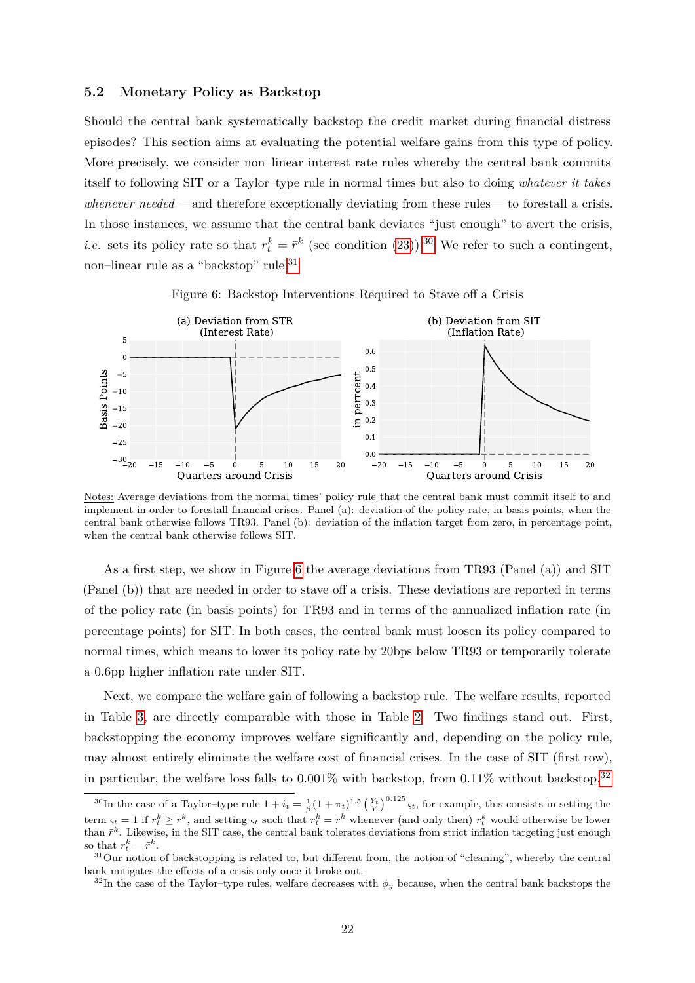### **5.2 Monetary Policy as Backstop**

Should the central bank systematically backstop the credit market during financial distress episodes? This section aims at evaluating the potential welfare gains from this type of policy. More precisely, we consider non–linear interest rate rules whereby the central bank commits itself to following SIT or a Taylor–type rule in normal times but also to doing *whatever it takes whenever needed* —and therefore exceptionally deviating from these rules— to forestall a crisis. In those instances, we assume that the central bank deviates "just enough" to avert the crisis, *i.e.* sets its policy rate so that  $r_t^k = \bar{r}^k$  (see condition [\(23\)](#page-11-1)).<sup>[30](#page-21-0)</sup> We refer to such a contingent, non–linear rule as a "backstop" rule.<sup>[31](#page-21-1)</sup>

<span id="page-21-2"></span>

Figure 6: Backstop Interventions Required to Stave off a Crisis

Notes: Average deviations from the normal times' policy rule that the central bank must commit itself to and implement in order to forestall financial crises. Panel (a): deviation of the policy rate, in basis points, when the central bank otherwise follows TR93. Panel (b): deviation of the inflation target from zero, in percentage point, when the central bank otherwise follows SIT.

As a first step, we show in Figure [6](#page-21-2) the average deviations from TR93 (Panel (a)) and SIT (Panel (b)) that are needed in order to stave off a crisis. These deviations are reported in terms of the policy rate (in basis points) for TR93 and in terms of the annualized inflation rate (in percentage points) for SIT. In both cases, the central bank must loosen its policy compared to normal times, which means to lower its policy rate by 20bps below TR93 or temporarily tolerate a 0.6pp higher inflation rate under SIT.

Next, we compare the welfare gain of following a backstop rule. The welfare results, reported in Table [3,](#page-22-0) are directly comparable with those in Table [2.](#page-17-0) Two findings stand out. First, backstopping the economy improves welfare significantly and, depending on the policy rule, may almost entirely eliminate the welfare cost of financial crises. In the case of SIT (first row), in particular, the welfare loss falls to  $0.001\%$  with backstop, from  $0.11\%$  without backstop.<sup>[32](#page-21-3)</sup>

<span id="page-21-0"></span><sup>&</sup>lt;sup>30</sup>In the case of a Taylor–type rule  $1 + i_t = \frac{1}{\beta}(1 + \pi_t)^{1.5} \left(\frac{Y_t}{Y}\right)^{0.125} \zeta_t$ , for example, this consists in setting the term  $\varsigma_t = 1$  if  $r_t^k \geq \overline{r}^k$ , and setting  $\varsigma_t$  such that  $r_t^k = \overline{r}^k$  whenever (and only then)  $r_t^k$  would otherwise be lower than  $\bar{r}^k$ . Likewise, in the SIT case, the central bank tolerates deviations from strict inflation targeting just enough so that  $r_t^k = \bar{r}^k$ .

<span id="page-21-1"></span><sup>&</sup>lt;sup>31</sup>Our notion of backstopping is related to, but different from, the notion of "cleaning", whereby the central bank mitigates the effects of a crisis only once it broke out.

<span id="page-21-3"></span> $32$ In the case of the Taylor–type rules, welfare decreases with  $\phi_y$  because, when the central bank backstops the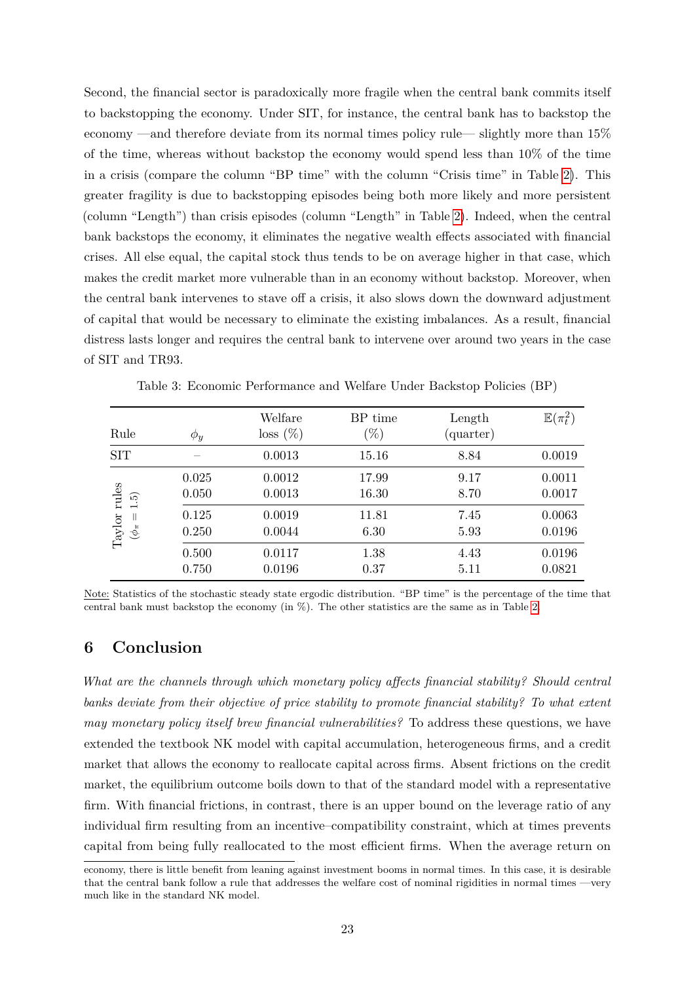Second, the financial sector is paradoxically more fragile when the central bank commits itself to backstopping the economy. Under SIT, for instance, the central bank has to backstop the economy —and therefore deviate from its normal times policy rule— slightly more than 15% of the time, whereas without backstop the economy would spend less than 10% of the time in a crisis (compare the column "BP time" with the column "Crisis time" in Table [2\)](#page-17-0). This greater fragility is due to backstopping episodes being both more likely and more persistent (column "Length") than crisis episodes (column "Length" in Table [2\)](#page-17-0). Indeed, when the central bank backstops the economy, it eliminates the negative wealth effects associated with financial crises. All else equal, the capital stock thus tends to be on average higher in that case, which makes the credit market more vulnerable than in an economy without backstop. Moreover, when the central bank intervenes to stave off a crisis, it also slows down the downward adjustment of capital that would be necessary to eliminate the existing imbalances. As a result, financial distress lasts longer and requires the central bank to intervene over around two years in the case of SIT and TR93.

<span id="page-22-0"></span>

| Rule                                                                          | $\phi_y$                | Welfare<br>$loss (\%)$     | BP time<br>$(\%)$       | Length<br>(quarter)  | $\mathbb{E}(\pi_t^2)$      |
|-------------------------------------------------------------------------------|-------------------------|----------------------------|-------------------------|----------------------|----------------------------|
| <b>SIT</b>                                                                    |                         | 0.0013                     | 15.16                   | 8.84                 | 0.0019                     |
| rules<br>1.5)<br>$\parallel$                                                  | 0.025<br>0.050<br>0.125 | 0.0012<br>0.0013<br>0.0019 | 17.99<br>16.30<br>11.81 | 9.17<br>8.70<br>7.45 | 0.0011<br>0.0017<br>0.0063 |
| $\label{eq:2.1} \begin{aligned} \mathrm{Taylor} \\ (\phi_\pi = \end{aligned}$ | 0.250                   | 0.0044                     | 6.30                    | 5.93                 | 0.0196                     |
|                                                                               | 0.500<br>0.750          | 0.0117<br>0.0196           | 1.38<br>0.37            | 4.43<br>5.11         | 0.0196<br>0.0821           |

Table 3: Economic Performance and Welfare Under Backstop Policies (BP)

Note: Statistics of the stochastic steady state ergodic distribution. "BP time" is the percentage of the time that central bank must backstop the economy (in %). The other statistics are the same as in Table [2.](#page-17-0)

# **6 Conclusion**

*What are the channels through which monetary policy affects financial stability? Should central banks deviate from their objective of price stability to promote financial stability? To what extent may monetary policy itself brew financial vulnerabilities?* To address these questions, we have extended the textbook NK model with capital accumulation, heterogeneous firms, and a credit market that allows the economy to reallocate capital across firms. Absent frictions on the credit market, the equilibrium outcome boils down to that of the standard model with a representative firm. With financial frictions, in contrast, there is an upper bound on the leverage ratio of any individual firm resulting from an incentive–compatibility constraint, which at times prevents capital from being fully reallocated to the most efficient firms. When the average return on

economy, there is little benefit from leaning against investment booms in normal times. In this case, it is desirable that the central bank follow a rule that addresses the welfare cost of nominal rigidities in normal times —very much like in the standard NK model.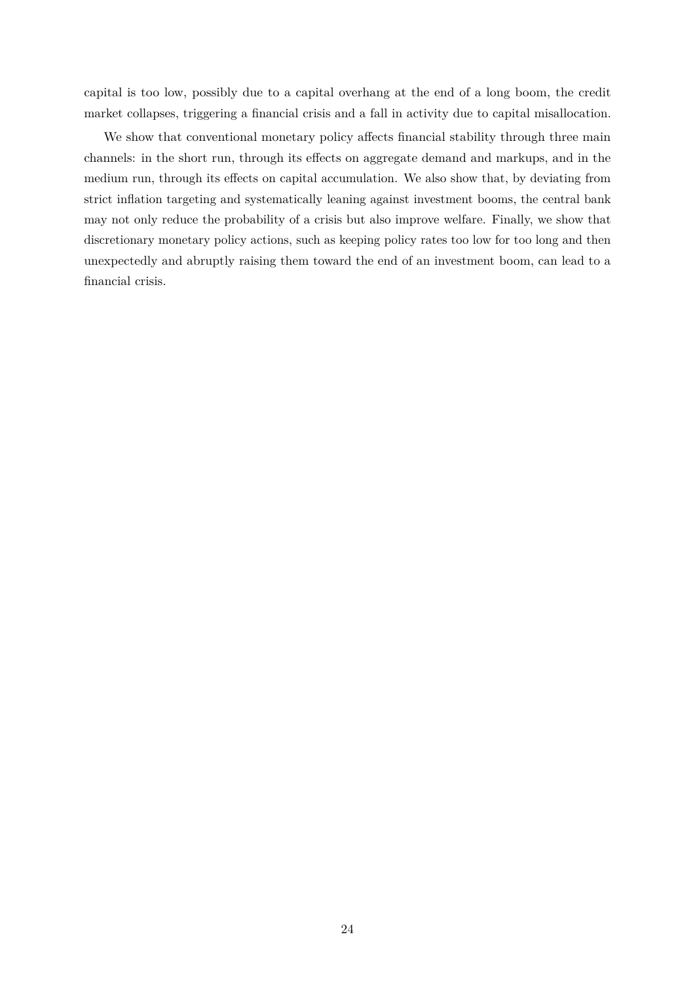capital is too low, possibly due to a capital overhang at the end of a long boom, the credit market collapses, triggering a financial crisis and a fall in activity due to capital misallocation.

We show that conventional monetary policy affects financial stability through three main channels: in the short run, through its effects on aggregate demand and markups, and in the medium run, through its effects on capital accumulation. We also show that, by deviating from strict inflation targeting and systematically leaning against investment booms, the central bank may not only reduce the probability of a crisis but also improve welfare. Finally, we show that discretionary monetary policy actions, such as keeping policy rates too low for too long and then unexpectedly and abruptly raising them toward the end of an investment boom, can lead to a financial crisis.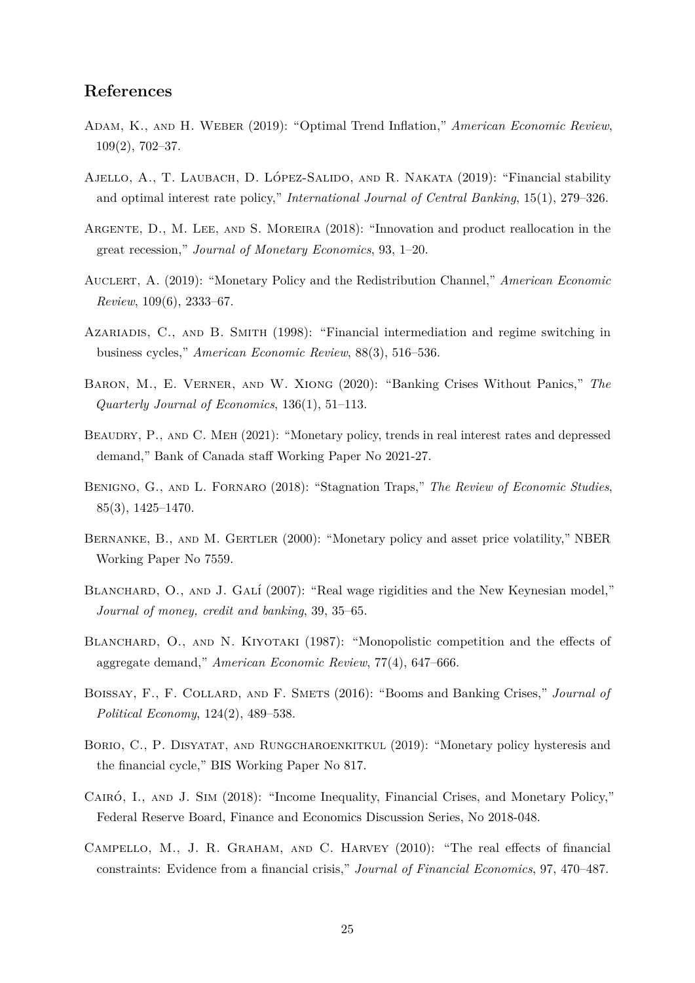### **References**

- <span id="page-24-2"></span>Adam, K., and H. Weber (2019): "Optimal Trend Inflation," *American Economic Review*, 109(2), 702–37.
- <span id="page-24-5"></span>AJELLO, A., T. LAUBACH, D. LÓPEZ-SALIDO, AND R. NAKATA (2019): "Financial stability and optimal interest rate policy," *International Journal of Central Banking*, 15(1), 279–326.
- <span id="page-24-10"></span>Argente, D., M. Lee, and S. Moreira (2018): "Innovation and product reallocation in the great recession," *Journal of Monetary Economics*, 93, 1–20.
- <span id="page-24-1"></span>Auclert, A. (2019): "Monetary Policy and the Redistribution Channel," *American Economic Review*, 109(6), 2333–67.
- <span id="page-24-11"></span>Azariadis, C., and B. Smith (1998): "Financial intermediation and regime switching in business cycles," *American Economic Review*, 88(3), 516–536.
- <span id="page-24-12"></span>Baron, M., E. Verner, and W. Xiong (2020): "Banking Crises Without Panics," *The Quarterly Journal of Economics*, 136(1), 51–113.
- <span id="page-24-8"></span>BEAUDRY, P., AND C. MEH (2021): "Monetary policy, trends in real interest rates and depressed demand," Bank of Canada staff Working Paper No 2021-27.
- <span id="page-24-6"></span>Benigno, G., and L. Fornaro (2018): "Stagnation Traps," *The Review of Economic Studies*, 85(3), 1425–1470.
- <span id="page-24-3"></span>BERNANKE, B., AND M. GERTLER (2000): "Monetary policy and asset price volatility," NBER Working Paper No 7559.
- <span id="page-24-13"></span>BLANCHARD, O., AND J. GALÍ (2007): "Real wage rigidities and the New Keynesian model," *Journal of money, credit and banking*, 39, 35–65.
- <span id="page-24-14"></span>BLANCHARD, O., AND N. KIYOTAKI (1987): "Monopolistic competition and the effects of aggregate demand," *American Economic Review*, 77(4), 647–666.
- <span id="page-24-0"></span>Boissay, F., F. Collard, and F. Smets (2016): "Booms and Banking Crises," *Journal of Political Economy*, 124(2), 489–538.
- <span id="page-24-7"></span>BORIO, C., P. DISYATAT, AND RUNGCHAROENKITKUL (2019): "Monetary policy hysteresis and the financial cycle," BIS Working Paper No 817.
- <span id="page-24-4"></span>CAIRÓ, I., AND J. SIM (2018): "Income Inequality, Financial Crises, and Monetary Policy," Federal Reserve Board, Finance and Economics Discussion Series, No 2018-048.
- <span id="page-24-9"></span>Campello, M., J. R. Graham, and C. Harvey (2010): "The real effects of financial constraints: Evidence from a financial crisis," *Journal of Financial Economics*, 97, 470–487.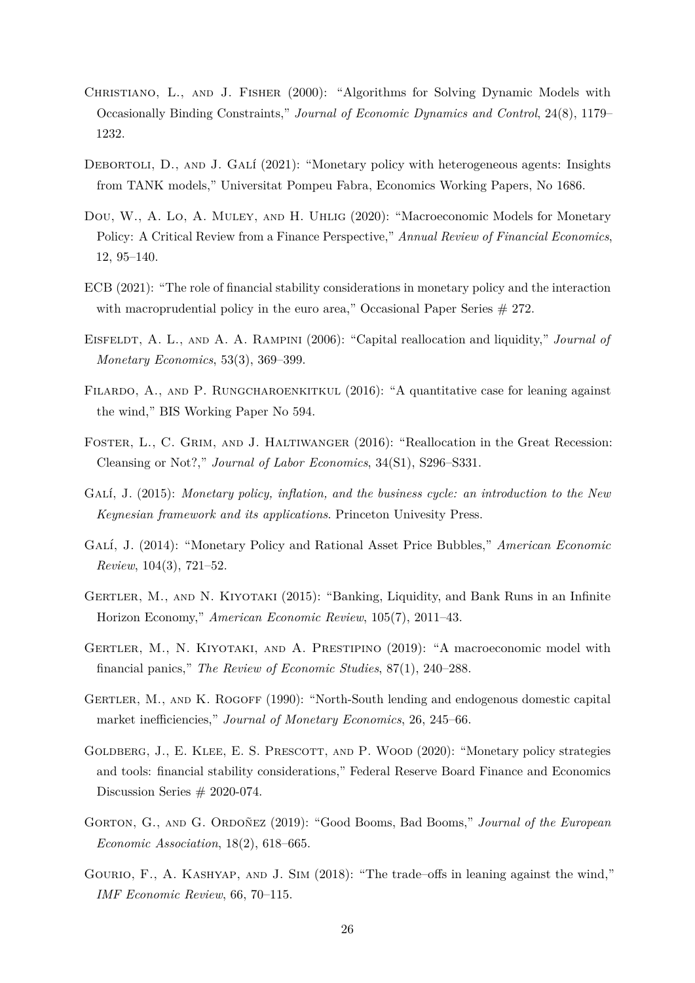- <span id="page-25-14"></span>CHRISTIANO, L., AND J. FISHER (2000): "Algorithms for Solving Dynamic Models with Occasionally Binding Constraints," *Journal of Economic Dynamics and Control*, 24(8), 1179– 1232.
- <span id="page-25-6"></span>DEBORTOLI, D., AND J. GALÍ (2021): "Monetary policy with heterogeneous agents: Insights from TANK models," Universitat Pompeu Fabra, Economics Working Papers, No 1686.
- <span id="page-25-9"></span>Dou, W., A. Lo, A. Muley, and H. Uhlig (2020): "Macroeconomic Models for Monetary Policy: A Critical Review from a Finance Perspective," *Annual Review of Financial Economics*, 12, 95–140.
- <span id="page-25-1"></span>ECB (2021): "The role of financial stability considerations in monetary policy and the interaction with macroprudential policy in the euro area," Occasional Paper Series  $#272$ .
- <span id="page-25-10"></span>EISFELDT, A. L., AND A. A. RAMPINI (2006): "Capital reallocation and liquidity," *Journal of Monetary Economics*, 53(3), 369–399.
- <span id="page-25-8"></span>FILARDO, A., AND P. RUNGCHAROENKITKUL (2016): "A quantitative case for leaning against the wind," BIS Working Paper No 594.
- <span id="page-25-11"></span>Foster, L., C. Grim, and J. Haltiwanger (2016): "Reallocation in the Great Recession: Cleansing or Not?," *Journal of Labor Economics*, 34(S1), S296–S331.
- <span id="page-25-12"></span>GALÍ, J. (2015): *Monetary policy, inflation, and the business cycle: an introduction to the New Keynesian framework and its applications*. Princeton Univesity Press.
- <span id="page-25-7"></span>GALÍ, J. (2014): "Monetary Policy and Rational Asset Price Bubbles," *American Economic Review*, 104(3), 721–52.
- <span id="page-25-4"></span>Gertler, M., and N. Kiyotaki (2015): "Banking, Liquidity, and Bank Runs in an Infinite Horizon Economy," *American Economic Review*, 105(7), 2011–43.
- <span id="page-25-5"></span>Gertler, M., N. Kiyotaki, and A. Prestipino (2019): "A macroeconomic model with financial panics," *The Review of Economic Studies*, 87(1), 240–288.
- <span id="page-25-13"></span>Gertler, M., and K. Rogoff (1990): "North-South lending and endogenous domestic capital market inefficiencies," *Journal of Monetary Economics*, 26, 245–66.
- <span id="page-25-0"></span>GOLDBERG, J., E. KLEE, E. S. PRESCOTT, AND P. WOOD (2020): "Monetary policy strategies and tools: financial stability considerations," Federal Reserve Board Finance and Economics Discussion Series  $# 2020-074$ .
- <span id="page-25-3"></span>GORTON, G., AND G. ORDOÑEZ (2019): "Good Booms, Bad Booms," *Journal of the European Economic Association*, 18(2), 618–665.
- <span id="page-25-2"></span>GOURIO, F., A. KASHYAP, AND J. SIM (2018): "The trade–offs in leaning against the wind," *IMF Economic Review*, 66, 70–115.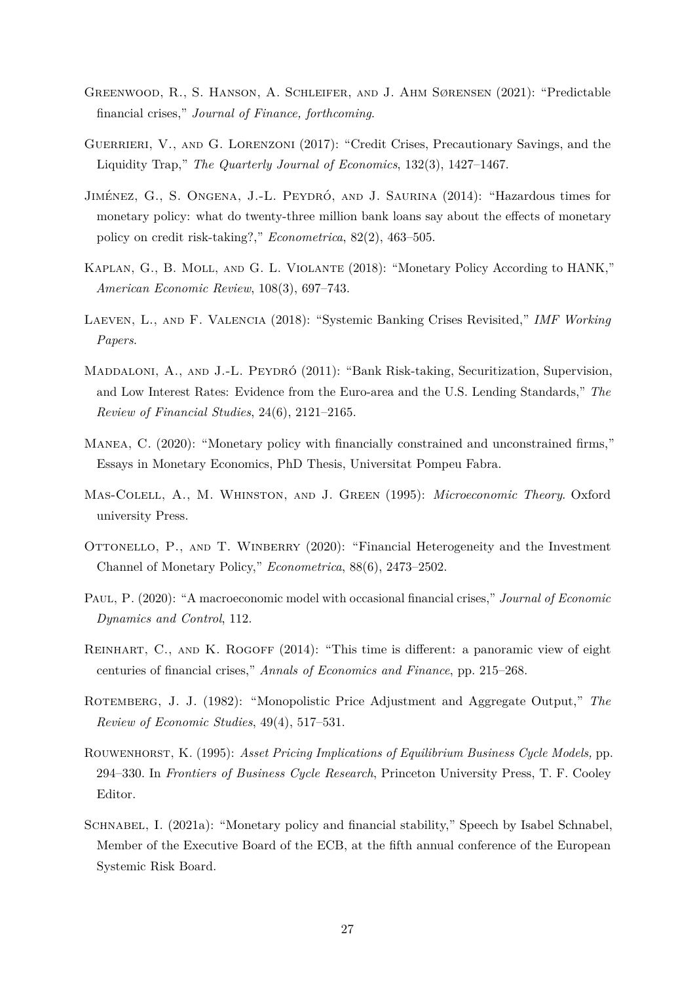- <span id="page-26-12"></span>Greenwood, R., S. Hanson, A. Schleifer, and J. Ahm Sørensen (2021): "Predictable financial crises," *Journal of Finance, forthcoming*.
- <span id="page-26-3"></span>GUERRIERI, V., AND G. LORENZONI (2017): "Credit Crises, Precautionary Savings, and the Liquidity Trap," *The Quarterly Journal of Economics*, 132(3), 1427–1467.
- <span id="page-26-1"></span>JIMÉNEZ, G., S. ONGENA, J.-L. PEYDRÓ, AND J. SAURINA (2014): "Hazardous times for monetary policy: what do twenty-three million bank loans say about the effects of monetary policy on credit risk-taking?," *Econometrica*, 82(2), 463–505.
- <span id="page-26-4"></span>Kaplan, G., B. Moll, and G. L. Violante (2018): "Monetary Policy According to HANK," *American Economic Review*, 108(3), 697–743.
- <span id="page-26-11"></span>Laeven, L., and F. Valencia (2018): "Systemic Banking Crises Revisited," *IMF Working Papers*.
- <span id="page-26-0"></span>MADDALONI, A., AND J.-L. PEYDRÓ (2011): "Bank Risk-taking, Securitization, Supervision, and Low Interest Rates: Evidence from the Euro-area and the U.S. Lending Standards," *The Review of Financial Studies*, 24(6), 2121–2165.
- <span id="page-26-5"></span>Manea, C. (2020): "Monetary policy with financially constrained and unconstrained firms," Essays in Monetary Economics, PhD Thesis, Universitat Pompeu Fabra.
- <span id="page-26-9"></span>Mas-Colell, A., M. Whinston, and J. Green (1995): *Microeconomic Theory*. Oxford university Press.
- <span id="page-26-6"></span>OTTONELLO, P., AND T. WINBERRY (2020): "Financial Heterogeneity and the Investment Channel of Monetary Policy," *Econometrica*, 88(6), 2473–2502.
- <span id="page-26-7"></span>Paul, P. (2020): "A macroeconomic model with occasional financial crises," *Journal of Economic Dynamics and Control*, 112.
- <span id="page-26-10"></span>REINHART, C., AND K. ROGOFF (2014): "This time is different: a panoramic view of eight centuries of financial crises," *Annals of Economics and Finance*, pp. 215–268.
- <span id="page-26-8"></span>ROTEMBERG, J. J. (1982): "Monopolistic Price Adjustment and Aggregate Output," The *Review of Economic Studies*, 49(4), 517–531.
- <span id="page-26-13"></span>Rouwenhorst, K. (1995): *Asset Pricing Implications of Equilibrium Business Cycle Models,* pp. 294–330. In *Frontiers of Business Cycle Research*, Princeton University Press, T. F. Cooley Editor.
- <span id="page-26-2"></span>Schnabel, I. (2021a): "Monetary policy and financial stability," Speech by Isabel Schnabel, Member of the Executive Board of the ECB, at the fifth annual conference of the European Systemic Risk Board.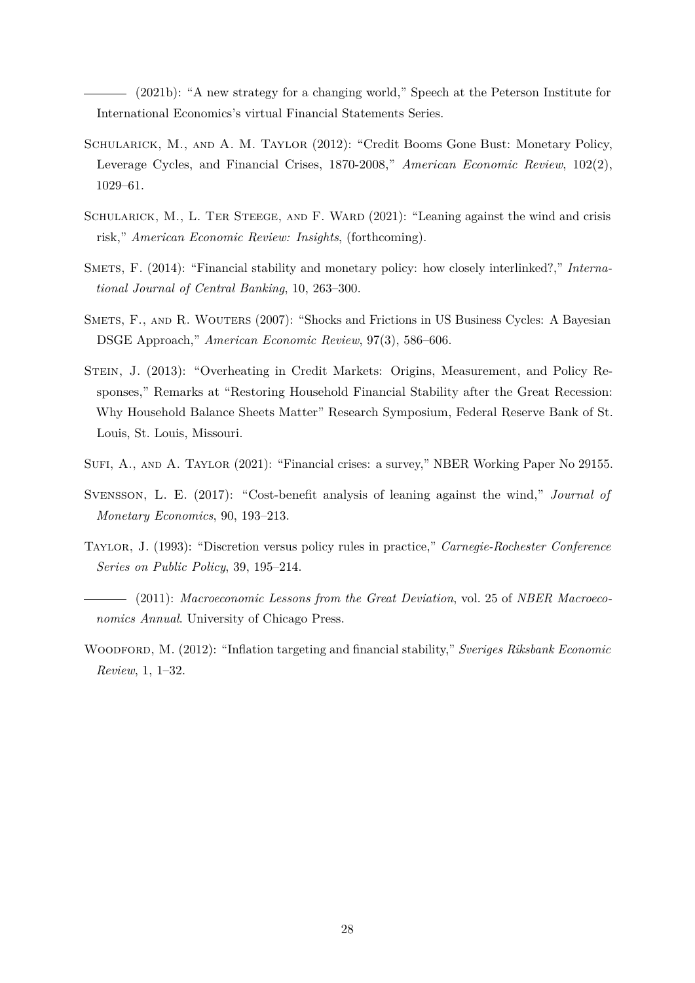<span id="page-27-2"></span>(2021b): "A new strategy for a changing world," Speech at the Peterson Institute for International Economics's virtual Financial Statements Series.

- <span id="page-27-4"></span>Schularick, M., and A. M. Taylor (2012): "Credit Booms Gone Bust: Monetary Policy, Leverage Cycles, and Financial Crises, 1870-2008," *American Economic Review*, 102(2), 1029–61.
- <span id="page-27-9"></span>SCHULARICK, M., L. TER STEEGE, AND F. WARD (2021): "Leaning against the wind and crisis risk," *American Economic Review: Insights*, (forthcoming).
- <span id="page-27-7"></span>SMETS, F. (2014): "Financial stability and monetary policy: how closely interlinked?," *International Journal of Central Banking*, 10, 263–300.
- <span id="page-27-10"></span>SMETS, F., AND R. WOUTERS (2007): "Shocks and Frictions in US Business Cycles: A Bayesian DSGE Approach," *American Economic Review*, 97(3), 586–606.
- <span id="page-27-0"></span>Stein, J. (2013): "Overheating in Credit Markets: Origins, Measurement, and Policy Responses," Remarks at "Restoring Household Financial Stability after the Great Recession: Why Household Balance Sheets Matter" Research Symposium, Federal Reserve Bank of St. Louis, St. Louis, Missouri.
- <span id="page-27-5"></span>Sufi, A., and A. Taylor (2021): "Financial crises: a survey," NBER Working Paper No 29155.
- <span id="page-27-6"></span>Svensson, L. E. (2017): "Cost-benefit analysis of leaning against the wind," *Journal of Monetary Economics*, 90, 193–213.
- <span id="page-27-8"></span>Taylor, J. (1993): "Discretion versus policy rules in practice," *Carnegie-Rochester Conference Series on Public Policy*, 39, 195–214.
- <span id="page-27-1"></span>(2011): *Macroeconomic Lessons from the Great Deviation*, vol. 25 of *NBER Macroeconomics Annual*. University of Chicago Press.
- <span id="page-27-3"></span>WOODFORD, M. (2012): "Inflation targeting and financial stability," *Sveriges Riksbank Economic Review*, 1, 1–32.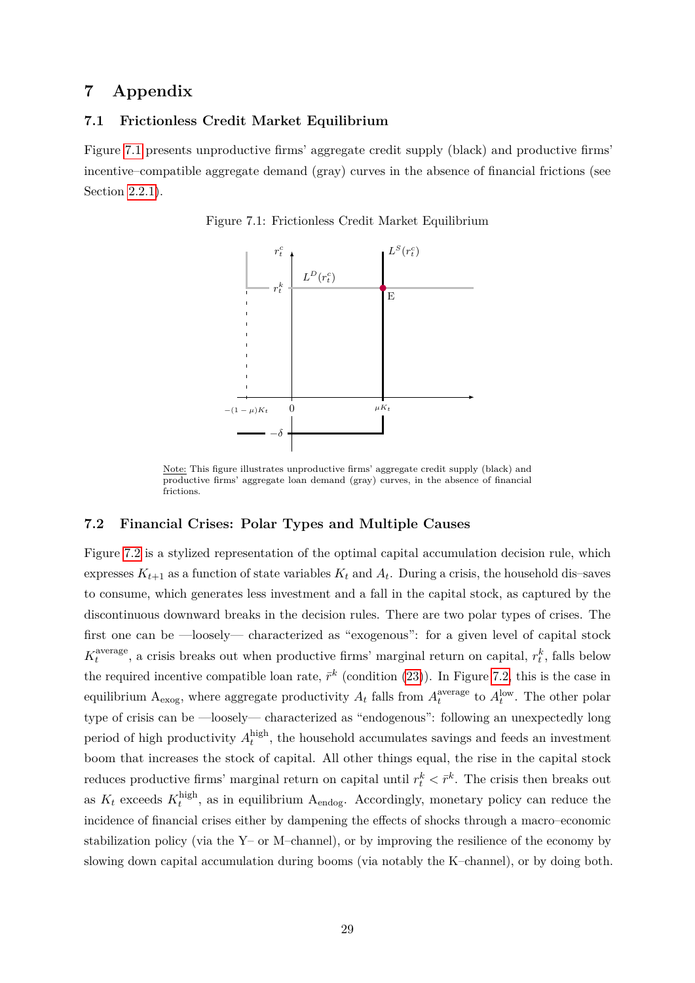# **7 Appendix**

### **7.1 Frictionless Credit Market Equilibrium**

<span id="page-28-0"></span>Figure [7.1](#page-28-0) presents unproductive firms' aggregate credit supply (black) and productive firms' incentive–compatible aggregate demand (gray) curves in the absence of financial frictions (see Section [2.2.1\)](#page-9-4).





Note: This figure illustrates unproductive firms' aggregate credit supply (black) and productive firms' aggregate loan demand (gray) curves, in the absence of financial frictions

### <span id="page-28-1"></span>**7.2 Financial Crises: Polar Types and Multiple Causes**

Figure [7.2](#page-29-0) is a stylized representation of the optimal capital accumulation decision rule, which expresses  $K_{t+1}$  as a function of state variables  $K_t$  and  $A_t$ . During a crisis, the household dis-saves to consume, which generates less investment and a fall in the capital stock, as captured by the discontinuous downward breaks in the decision rules. There are two polar types of crises. The first one can be —loosely— characterized as "exogenous": for a given level of capital stock  $K_t^{\text{average}}$ <sup>th</sup>
<sup>average</sup>, a crisis breaks out when productive firms' marginal return on capital,  $r_t^k$ , falls below the required incentive compatible loan rate,  $\bar{r}^k$  (condition [\(23\)](#page-11-1)). In Figure [7.2,](#page-29-0) this is the case in equilibrium  $A_{\text{exog}}$ , where aggregate productivity  $A_t$  falls from  $A_t^{\text{average}}$  $t_t^{\text{average}}$  to  $A_t^{\text{low}}$ . The other polar type of crisis can be —loosely— characterized as "endogenous": following an unexpectedly long period of high productivity  $A_t^{\text{high}}$  $t_t^{\text{mgn}}$ , the household accumulates savings and feeds an investment boom that increases the stock of capital. All other things equal, the rise in the capital stock reduces productive firms' marginal return on capital until  $r_t^k < \bar{r}^k$ . The crisis then breaks out as  $K_t$  exceeds  $K_t^{\text{high}}$  $t_t^{\text{nign}}$ , as in equilibrium  $A_{\text{endog}}$ . Accordingly, monetary policy can reduce the incidence of financial crises either by dampening the effects of shocks through a macro–economic stabilization policy (via the Y– or M–channel), or by improving the resilience of the economy by slowing down capital accumulation during booms (via notably the K–channel), or by doing both.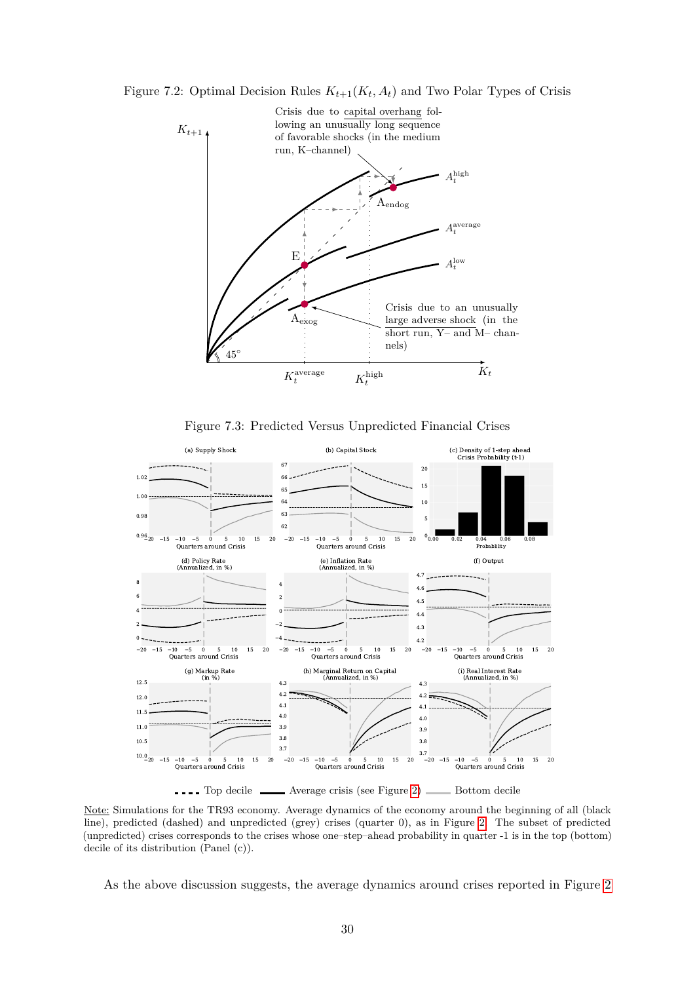<span id="page-29-0"></span>Figure 7.2: Optimal Decision Rules  $K_{t+1}(K_t, A_t)$  and Two Polar Types of Crisis



Figure 7.3: Predicted Versus Unpredicted Financial Crises

<span id="page-29-1"></span>

Note: Simulations for the TR93 economy. Average dynamics of the economy around the beginning of all (black line), predicted (dashed) and unpredicted (grey) crises (quarter 0), as in Figure [2.](#page-15-1) The subset of predicted (unpredicted) crises corresponds to the crises whose one–step–ahead probability in quarter -1 is in the top (bottom) decile of its distribution (Panel (c)).

As the above discussion suggests, the average dynamics around crises reported in Figure [2](#page-15-1)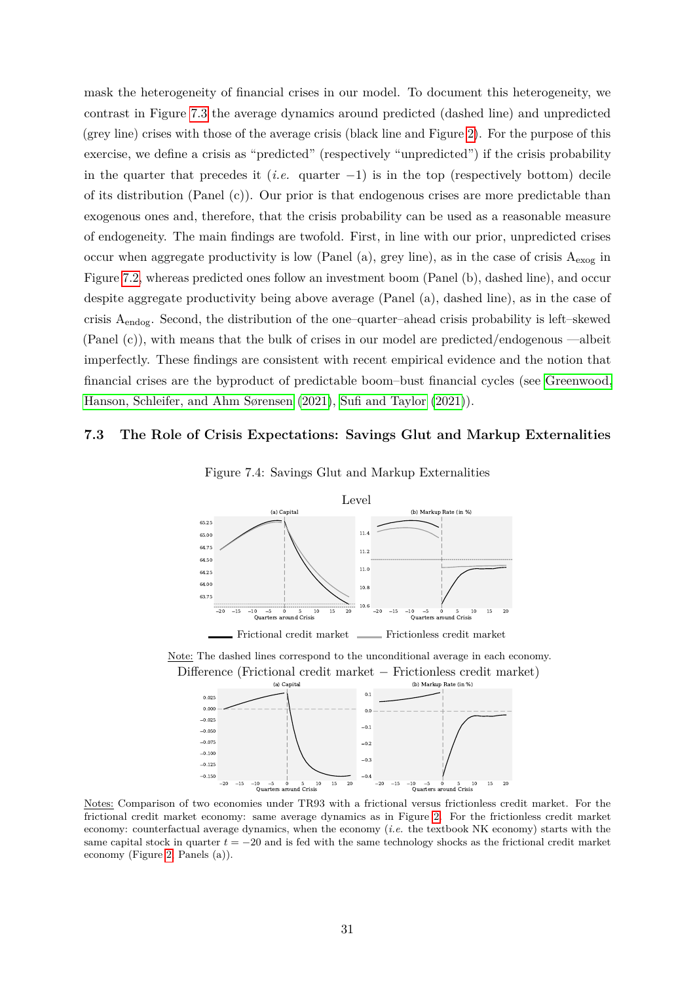mask the heterogeneity of financial crises in our model. To document this heterogeneity, we contrast in Figure [7.3](#page-29-1) the average dynamics around predicted (dashed line) and unpredicted (grey line) crises with those of the average crisis (black line and Figure [2\)](#page-15-1). For the purpose of this exercise, we define a crisis as "predicted" (respectively "unpredicted") if the crisis probability in the quarter that precedes it (*i.e.* quarter −1) is in the top (respectively bottom) decile of its distribution (Panel  $(c)$ ). Our prior is that endogenous crises are more predictable than exogenous ones and, therefore, that the crisis probability can be used as a reasonable measure of endogeneity. The main findings are twofold. First, in line with our prior, unpredicted crises occur when aggregate productivity is low (Panel (a), grey line), as in the case of crisis  $A_{\text{exog}}$  in Figure [7.2,](#page-29-0) whereas predicted ones follow an investment boom (Panel (b), dashed line), and occur despite aggregate productivity being above average (Panel (a), dashed line), as in the case of crisis  $A_{\text{endog}}$ . Second, the distribution of the one–quarter–ahead crisis probability is left–skewed (Panel (c)), with means that the bulk of crises in our model are predicted/endogenous —albeit imperfectly. These findings are consistent with recent empirical evidence and the notion that financial crises are the byproduct of predictable boom–bust financial cycles (see [Greenwood,](#page-26-12) [Hanson, Schleifer, and Ahm Sørensen](#page-26-12) [\(2021\)](#page-26-12), [Sufi and Taylor](#page-27-5) [\(2021\)](#page-27-5)).

### <span id="page-30-0"></span>**7.3 The Role of Crisis Expectations: Savings Glut and Markup Externalities**



Figure 7.4: Savings Glut and Markup Externalities

Note: The dashed lines correspond to the unconditional average in each economy. Difference (Frictional credit market − Frictionless credit market)



Notes: Comparison of two economies under TR93 with a frictional versus frictionless credit market. For the frictional credit market economy: same average dynamics as in Figure [2.](#page-15-1) For the frictionless credit market economy: counterfactual average dynamics, when the economy (*i.e.* the textbook NK economy) starts with the same capital stock in quarter  $t = -20$  and is fed with the same technology shocks as the frictional credit market economy (Figure [2,](#page-15-1) Panels (a)).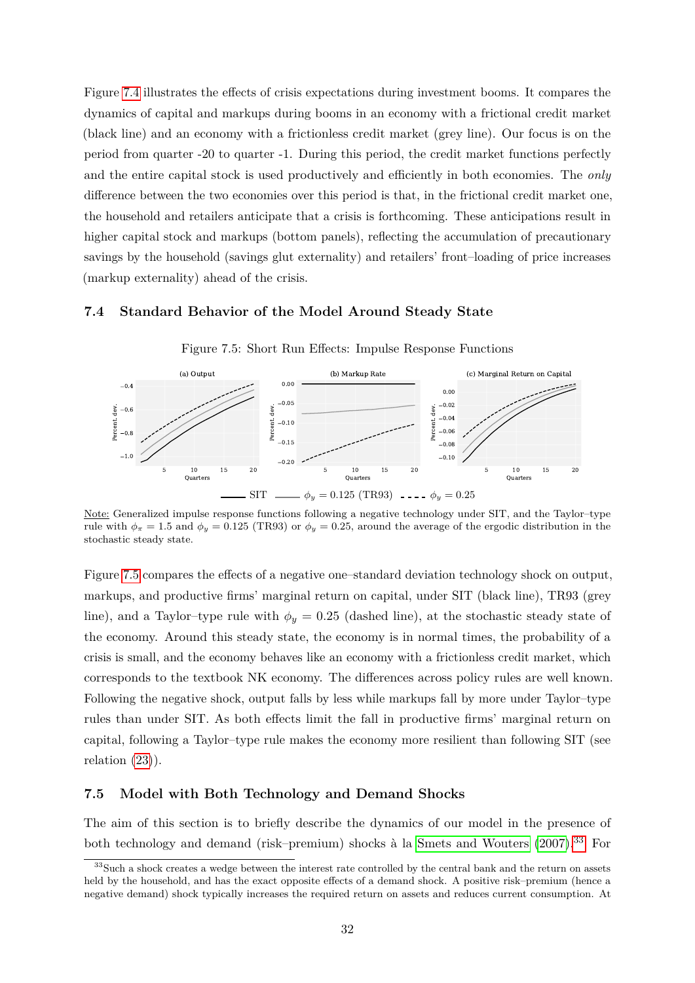Figure [7.4](#page-30-0) illustrates the effects of crisis expectations during investment booms. It compares the dynamics of capital and markups during booms in an economy with a frictional credit market (black line) and an economy with a frictionless credit market (grey line). Our focus is on the period from quarter -20 to quarter -1. During this period, the credit market functions perfectly and the entire capital stock is used productively and efficiently in both economies. The *only* difference between the two economies over this period is that, in the frictional credit market one, the household and retailers anticipate that a crisis is forthcoming. These anticipations result in higher capital stock and markups (bottom panels), reflecting the accumulation of precautionary savings by the household (savings glut externality) and retailers' front–loading of price increases (markup externality) ahead of the crisis.

### <span id="page-31-1"></span>**7.4 Standard Behavior of the Model Around Steady State**



Figure 7.5: Short Run Effects: Impulse Response Functions

Note: Generalized impulse response functions following a negative technology under SIT, and the Taylor–type rule with  $\phi_{\pi} = 1.5$  and  $\phi_{y} = 0.125$  (TR93) or  $\phi_{y} = 0.25$ , around the average of the ergodic distribution in the stochastic steady state.

Figure [7.5](#page-31-1) compares the effects of a negative one–standard deviation technology shock on output, markups, and productive firms' marginal return on capital, under SIT (black line), TR93 (grey line), and a Taylor–type rule with  $\phi_y = 0.25$  (dashed line), at the stochastic steady state of the economy. Around this steady state, the economy is in normal times, the probability of a crisis is small, and the economy behaves like an economy with a frictionless credit market, which corresponds to the textbook NK economy. The differences across policy rules are well known. Following the negative shock, output falls by less while markups fall by more under Taylor–type rules than under SIT. As both effects limit the fall in productive firms' marginal return on capital, following a Taylor–type rule makes the economy more resilient than following SIT (see relation  $(23)$ ).

### <span id="page-31-0"></span>**7.5 Model with Both Technology and Demand Shocks**

The aim of this section is to briefly describe the dynamics of our model in the presence of both technology and demand (risk–premium) shocks à la [Smets and Wouters](#page-27-10) [\(2007\)](#page-27-10).<sup>[33](#page-31-2)</sup> For

<span id="page-31-2"></span><sup>&</sup>lt;sup>33</sup>Such a shock creates a wedge between the interest rate controlled by the central bank and the return on assets held by the household, and has the exact opposite effects of a demand shock. A positive risk–premium (hence a negative demand) shock typically increases the required return on assets and reduces current consumption. At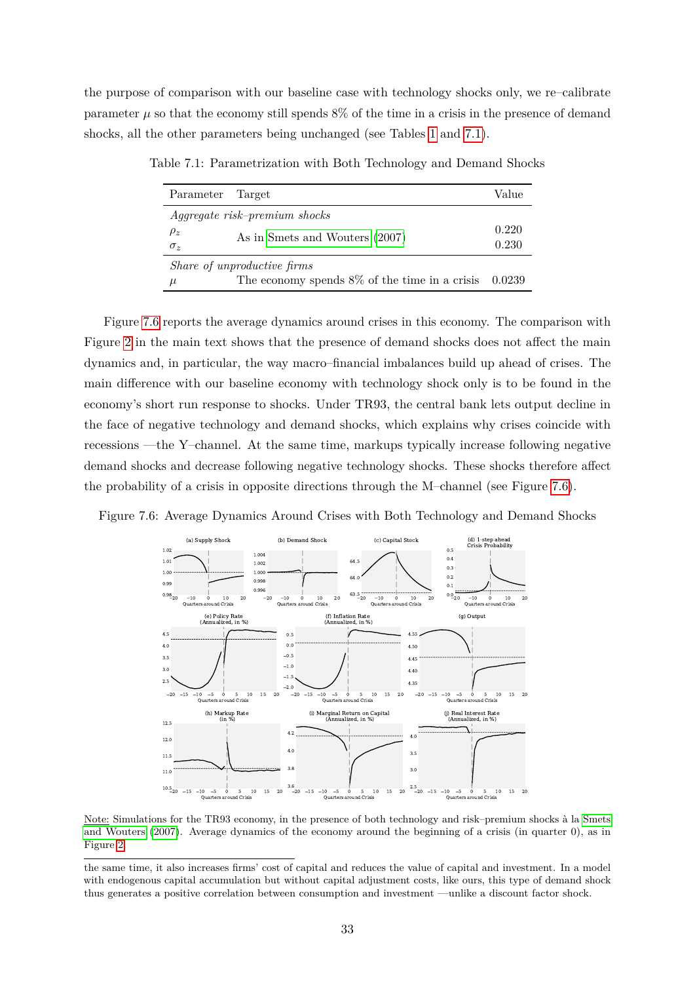<span id="page-32-0"></span>the purpose of comparison with our baseline case with technology shocks only, we re–calibrate parameter  $\mu$  so that the economy still spends  $8\%$  of the time in a crisis in the presence of demand shocks, all the other parameters being unchanged (see Tables [1](#page-14-0) and [7.1\)](#page-32-0).

| Parameter  | Target                                                  | Value |
|------------|---------------------------------------------------------|-------|
|            | Aggregate risk-premium shocks                           |       |
| $\rho_z$   | As in Smets and Wouters (2007)                          |       |
| $\sigma_z$ |                                                         |       |
|            | Share of unproductive firms                             |       |
| $\mu$      | The economy spends $8\%$ of the time in a crisis 0.0239 |       |

Table 7.1: Parametrization with Both Technology and Demand Shocks

Figure [7.6](#page-32-1) reports the average dynamics around crises in this economy. The comparison with Figure [2](#page-15-1) in the main text shows that the presence of demand shocks does not affect the main dynamics and, in particular, the way macro–financial imbalances build up ahead of crises. The main difference with our baseline economy with technology shock only is to be found in the economy's short run response to shocks. Under TR93, the central bank lets output decline in the face of negative technology and demand shocks, which explains why crises coincide with recessions —the Y–channel. At the same time, markups typically increase following negative demand shocks and decrease following negative technology shocks. These shocks therefore affect the probability of a crisis in opposite directions through the M–channel (see Figure [7.6\)](#page-32-1).

<span id="page-32-1"></span>Figure 7.6: Average Dynamics Around Crises with Both Technology and Demand Shocks



Note: Simulations for the TR93 economy, in the presence of both technology and risk–premium shocks à la [Smets](#page-27-10) [and Wouters](#page-27-10) [\(2007\)](#page-27-10). Average dynamics of the economy around the beginning of a crisis (in quarter 0), as in Figure [2.](#page-15-1)

the same time, it also increases firms' cost of capital and reduces the value of capital and investment. In a model with endogenous capital accumulation but without capital adjustment costs, like ours, this type of demand shock thus generates a positive correlation between consumption and investment —unlike a discount factor shock.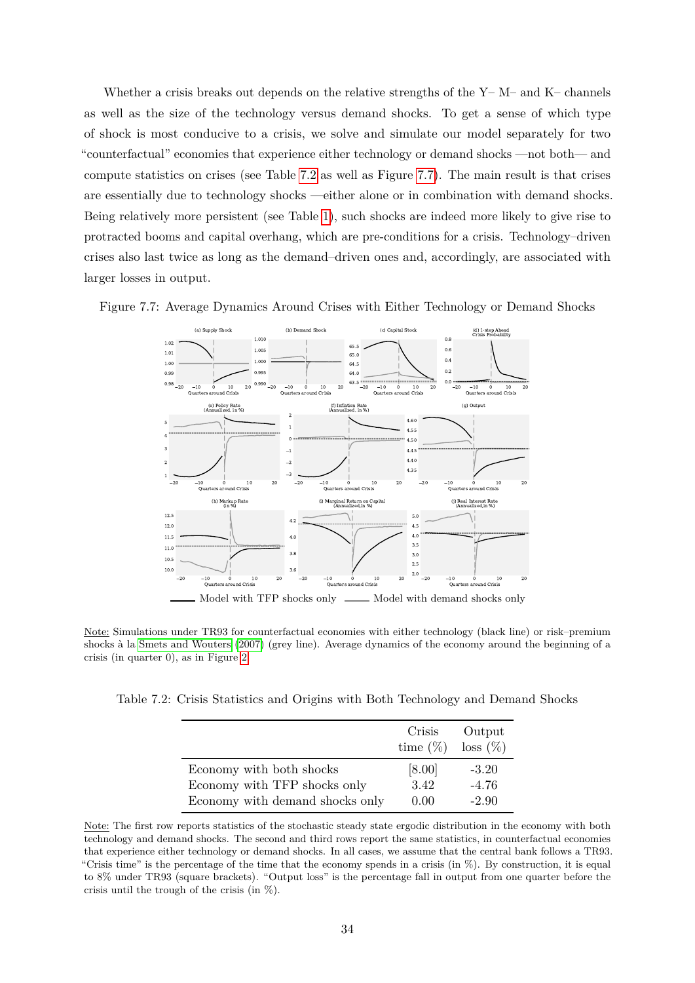Whether a crisis breaks out depends on the relative strengths of the  $Y-M$ – and  $K$ – channels as well as the size of the technology versus demand shocks. To get a sense of which type of shock is most conducive to a crisis, we solve and simulate our model separately for two "counterfactual" economies that experience either technology or demand shocks —not both— and compute statistics on crises (see Table [7.2](#page-33-0) as well as Figure [7.7\)](#page-33-1). The main result is that crises are essentially due to technology shocks —either alone or in combination with demand shocks. Being relatively more persistent (see Table [1\)](#page-14-0), such shocks are indeed more likely to give rise to protracted booms and capital overhang, which are pre-conditions for a crisis. Technology–driven crises also last twice as long as the demand–driven ones and, accordingly, are associated with larger losses in output.

<span id="page-33-1"></span>



Note: Simulations under TR93 for counterfactual economies with either technology (black line) or risk–premium shocks à la [Smets and Wouters](#page-27-10) [\(2007\)](#page-27-10) (grey line). Average dynamics of the economy around the beginning of a crisis (in quarter 0), as in Figure [2.](#page-15-1)

<span id="page-33-0"></span>Table 7.2: Crisis Statistics and Origins with Both Technology and Demand Shocks

|                                 | Crisis<br>time $(\%)$ | Output<br>$\cos(\%)$ |
|---------------------------------|-----------------------|----------------------|
| Economy with both shocks        | [8.00]                | $-3.20$              |
| Economy with TFP shocks only    | 3.42                  | $-4.76$              |
| Economy with demand shocks only | 0.00                  | $-2.90$              |

Note: The first row reports statistics of the stochastic steady state ergodic distribution in the economy with both technology and demand shocks. The second and third rows report the same statistics, in counterfactual economies that experience either technology or demand shocks. In all cases, we assume that the central bank follows a TR93. "Crisis time" is the percentage of the time that the economy spends in a crisis (in  $\%$ ). By construction, it is equal to 8% under TR93 (square brackets). "Output loss" is the percentage fall in output from one quarter before the crisis until the trough of the crisis (in %).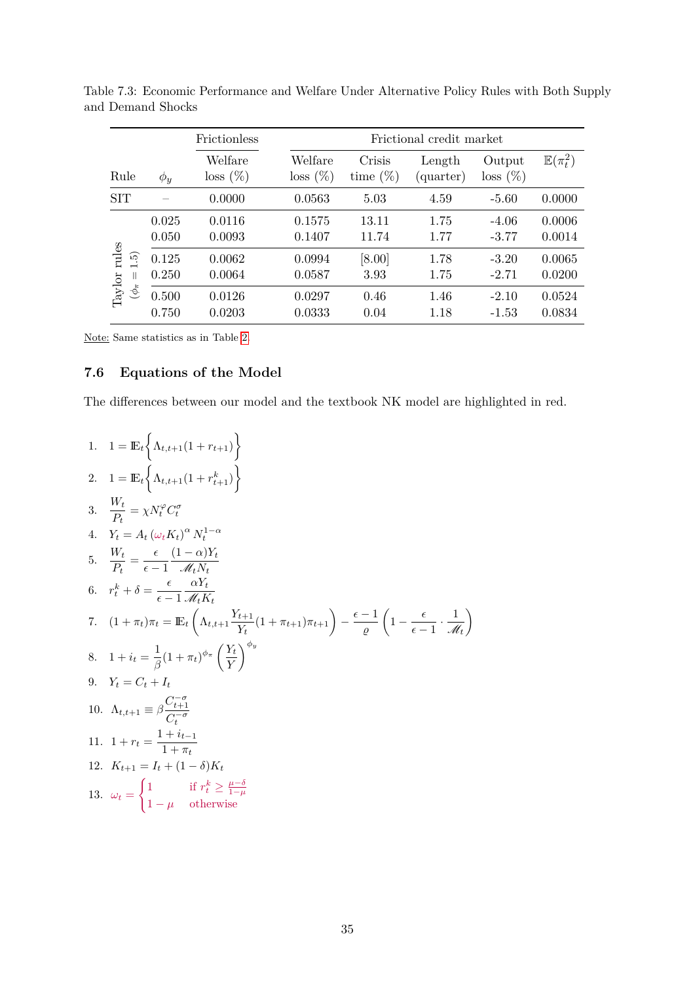|                                                                                                            |                | Frictionless           | Frictional credit market |                       |                     |                      |                       |  |
|------------------------------------------------------------------------------------------------------------|----------------|------------------------|--------------------------|-----------------------|---------------------|----------------------|-----------------------|--|
| Rule                                                                                                       | $\phi_y$       | Welfare<br>$loss (\%)$ | Welfare<br>$\cos(\%)$    | Crisis<br>time $(\%)$ | Length<br>(quarter) | Output<br>$\cos(\%)$ | $\mathbb{E}(\pi_t^2)$ |  |
| <b>SIT</b>                                                                                                 |                | 0.0000                 | 0.0563                   | 5.03                  | 4.59                | $-5.60$              | 0.0000                |  |
| rules<br>$\widetilde{\mathfrak{g}}$<br>$\rm Taylor$<br>$\mathbb{I}$<br>$(\phi_{\pi}% ^{r},\phi_{\pi}^{r})$ | 0.025<br>0.050 | 0.0116<br>0.0093       | 0.1575<br>0.1407         | 13.11<br>11.74        | 1.75<br>1.77        | $-4.06$<br>$-3.77$   | 0.0006<br>0.0014      |  |
|                                                                                                            | 0.125<br>0.250 | 0.0062<br>0.0064       | 0.0994<br>0.0587         | $[8.00]$<br>3.93      | 1.78<br>1.75        | $-3.20$<br>$-2.71$   | 0.0065<br>0.0200      |  |
|                                                                                                            | 0.500<br>0.750 | 0.0126<br>0.0203       | 0.0297<br>0.0333         | 0.46<br>0.04          | 1.46<br>1.18        | $-2.10$<br>$-1.53$   | 0.0524<br>0.0834      |  |

Table 7.3: Economic Performance and Welfare Under Alternative Policy Rules with Both Supply and Demand Shocks

Note: Same statistics as in Table [2.](#page-17-0)

# **7.6 Equations of the Model**

The differences between our model and the textbook NK model are highlighted in red.

1. 
$$
1 = \mathbb{E}_{t} \left\{ \Lambda_{t,t+1}(1 + r_{t+1}) \right\}
$$
  
\n2. 
$$
1 = \mathbb{E}_{t} \left\{ \Lambda_{t,t+1}(1 + r_{t+1}^{k}) \right\}
$$
  
\n3. 
$$
\frac{W_{t}}{P_{t}} = \chi N_{t}^{\varphi} C_{t}^{\sigma}
$$
  
\n4. 
$$
Y_{t} = A_{t} (\omega_{t} K_{t})^{\alpha} N_{t}^{1-\alpha}
$$
  
\n5. 
$$
\frac{W_{t}}{P_{t}} = \frac{\epsilon}{\epsilon - 1} \frac{(1 - \alpha)Y_{t}}{\mathcal{M}_{t} N_{t}}
$$
  
\n6. 
$$
r_{t}^{k} + \delta = \frac{\epsilon}{\epsilon - 1} \frac{\alpha Y_{t}}{\mathcal{M}_{t} N_{t}}
$$
  
\n7. 
$$
(1 + \pi_{t}) \pi_{t} = \mathbb{E}_{t} \left( \Lambda_{t,t+1} \frac{Y_{t+1}}{Y_{t}} (1 + \pi_{t+1}) \pi_{t+1} \right) - \frac{\epsilon - 1}{\varrho} \left( 1 - \frac{\epsilon}{\epsilon - 1} \cdot \frac{1}{\mathcal{M}_{t}} \right)
$$
  
\n8. 
$$
1 + i_{t} = \frac{1}{\beta} (1 + \pi_{t})^{\phi_{\pi}} \left( \frac{Y_{t}}{Y} \right)^{\phi_{y}}
$$
  
\n9. 
$$
Y_{t} = C_{t} + I_{t}
$$
  
\n10. 
$$
\Lambda_{t,t+1} \equiv \beta \frac{C_{t+1}^{-\sigma}}{C_{t}^{-\sigma}}
$$
  
\n11. 
$$
1 + r_{t} = \frac{1 + i_{t-1}}{1 + \pi_{t}}
$$
  
\n12. 
$$
K_{t+1} = I_{t} + (1 - \delta)K_{t}
$$
  
\n13. 
$$
\omega_{t} = \begin{cases} 1 & \text{if } r_{t}^{k} \ge \frac{\mu - \delta}{1 - \mu} \\ 1 - \mu & \text{otherwise} \end{cases}
$$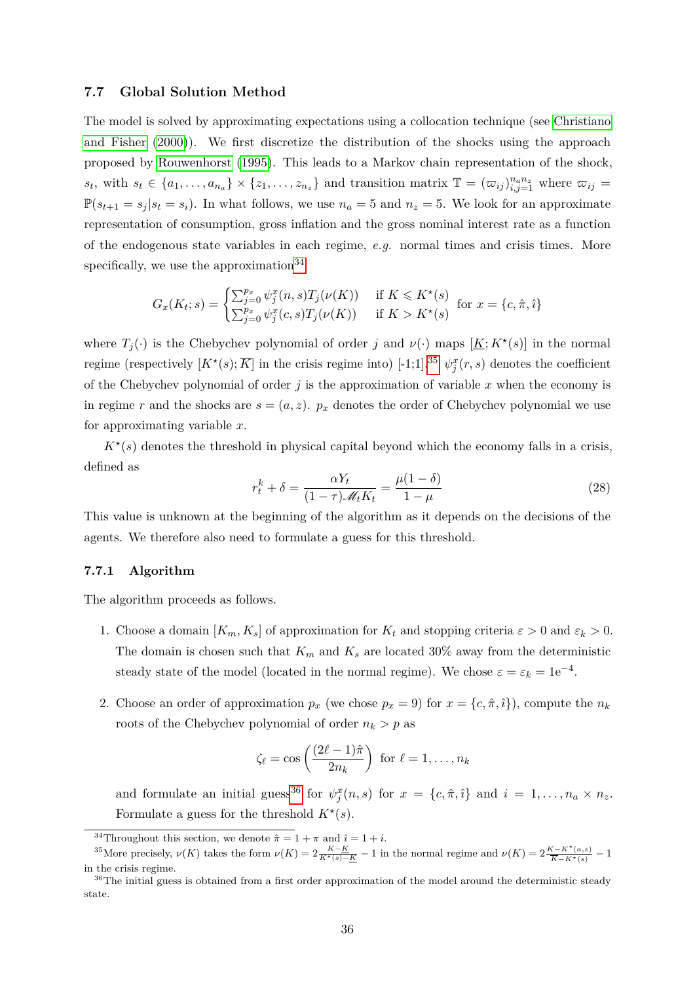### <span id="page-35-0"></span>**7.7 Global Solution Method**

The model is solved by approximating expectations using a collocation technique (see [Christiano](#page-25-14) [and Fisher](#page-25-14) [\(2000\)](#page-25-14)). We first discretize the distribution of the shocks using the approach proposed by [Rouwenhorst](#page-26-13) [\(1995\)](#page-26-13). This leads to a Markov chain representation of the shock,  $s_t$ , with  $s_t \in \{a_1, \ldots, a_{n_a}\} \times \{z_1, \ldots, z_{n_z}\}\$  and transition matrix  $\mathbb{T} = (\varpi_{ij})_{i,j=1}^{n_a n_z}$  where  $\varpi_{ij} =$  $\mathbb{P}(s_{t+1} = s_j | s_t = s_i)$ . In what follows, we use  $n_a = 5$  and  $n_z = 5$ . We look for an approximate representation of consumption, gross inflation and the gross nominal interest rate as a function of the endogenous state variables in each regime, *e.g.* normal times and crisis times. More specifically, we use the approximation  $34$ 

$$
G_x(K_t; s) = \begin{cases} \sum_{j=0}^{p_x} \psi_j^x(n, s) T_j(\nu(K)) & \text{if } K \leq K^\star(s) \\ \sum_{j=0}^{p_x} \psi_j^x(c, s) T_j(\nu(K)) & \text{if } K > K^\star(s) \end{cases} \text{ for } x = \{c, \hat{\pi}, \hat{\imath}\}
$$

where  $T_j(\cdot)$  is the Chebychev polynomial of order *j* and  $\nu(\cdot)$  maps  $[\underline{K}; K^*(s)]$  in the normal regime (respectively  $[K^*(s), \overline{K}]$  in the crisis regime into) [-1;1].<sup>[35](#page-35-2)</sup>  $\psi_j^x(r, s)$  denotes the coefficient of the Chebychev polynomial of order  $j$  is the approximation of variable  $x$  when the economy is in regime *r* and the shocks are  $s = (a, z)$ .  $p_x$  denotes the order of Chebychev polynomial we use for approximating variable *x*.

 $K^*(s)$  denotes the threshold in physical capital beyond which the economy falls in a crisis, defined as

<span id="page-35-4"></span>
$$
r_t^k + \delta = \frac{\alpha Y_t}{(1 - \tau)\mathcal{M}_t K_t} = \frac{\mu(1 - \delta)}{1 - \mu}
$$
\n(28)

This value is unknown at the beginning of the algorithm as it depends on the decisions of the agents. We therefore also need to formulate a guess for this threshold.

### **7.7.1 Algorithm**

The algorithm proceeds as follows.

- 1. Choose a domain  $[K_m, K_s]$  of approximation for  $K_t$  and stopping criteria  $\varepsilon > 0$  and  $\varepsilon_k > 0$ . The domain is chosen such that  $K_m$  and  $K_s$  are located 30% away from the deterministic steady state of the model (located in the normal regime). We chose  $\varepsilon = \varepsilon_k = 1e^{-4}$ .
- 2. Choose an order of approximation  $p_x$  (we chose  $p_x = 9$ ) for  $x = \{c, \hat{\pi}, \hat{i}\}\)$ , compute the  $n_k$ roots of the Chebychev polynomial of order  $n_k > p$  as

$$
\zeta_{\ell} = \cos\left(\frac{(2\ell-1)\hat{\pi}}{2n_k}\right) \text{ for } \ell = 1,\ldots,n_k
$$

and formulate an initial guess<sup>[36](#page-35-3)</sup> for  $\psi_j^x(n, s)$  for  $x = \{c, \hat{\pi}, \hat{\imath}\}\$ and  $i = 1, \ldots, n_a \times n_z$ . Formulate a guess for the threshold  $K^*(s)$ .

<span id="page-35-2"></span><span id="page-35-1"></span><sup>34</sup>Throughout this section, we denote  $\hat{\pi} = 1 + \pi$  and  $\hat{i} = 1 + i$ .

<sup>&</sup>lt;sup>35</sup>More precisely,  $\nu(K)$  takes the form  $\nu(K) = 2\frac{K-K}{K*(s)-K} - 1$  in the normal regime and  $\nu(K) = 2\frac{K-K*(a,z)}{\overline{K}-K*(s)} - 1$ in the crisis regime.

<span id="page-35-3"></span><sup>&</sup>lt;sup>36</sup>The initial guess is obtained from a first order approximation of the model around the deterministic steady state.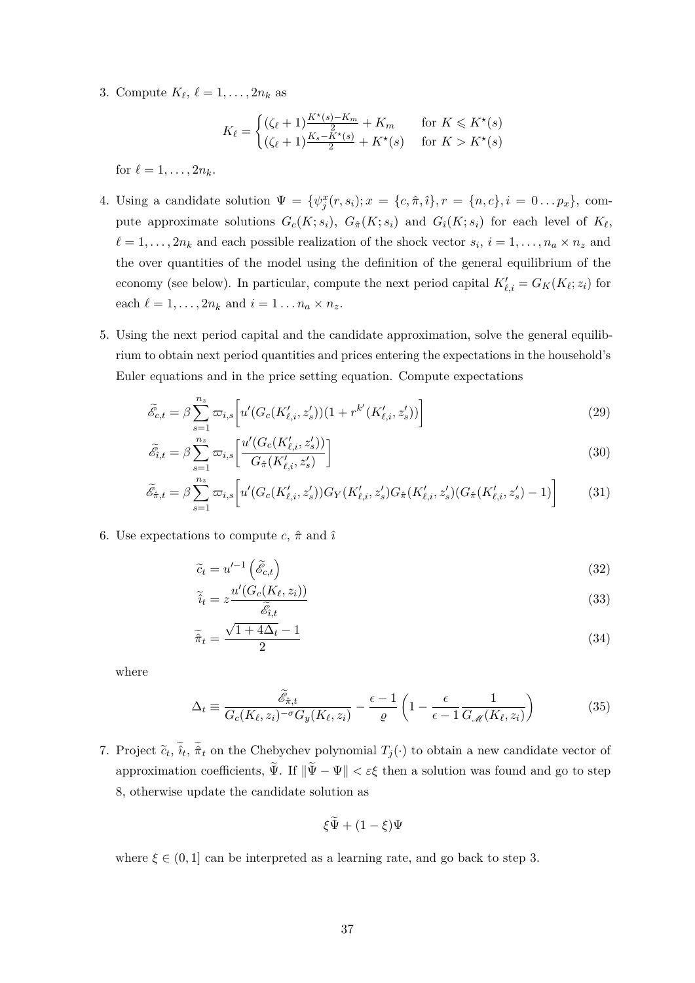3. Compute  $K_{\ell}, \ell = 1, \ldots, 2n_k$  as

$$
K_{\ell} = \begin{cases} (\zeta_{\ell} + 1) \frac{K^{\star}(s) - K_m}{2} + K_m & \text{for } K \leqslant K^{\star}(s) \\ (\zeta_{\ell} + 1) \frac{K_s - K^{\star}(s)}{2} + K^{\star}(s) & \text{for } K > K^{\star}(s) \end{cases}
$$

for  $\ell = 1, ..., 2n_k$ .

- 4. Using a candidate solution  $\Psi = {\psi_j^x(r, s_i); x = {c, \hat{\pi}, \hat{\imath}}, r = {n, c}, i = 0...p_x},$  compute approximate solutions  $G_c(K; s_i)$ ,  $G_{\hat{\pi}}(K; s_i)$  and  $G_i(K; s_i)$  for each level of  $K_{\ell}$ ,  $\ell = 1, \ldots, 2n_k$  and each possible realization of the shock vector  $s_i$ ,  $i = 1, \ldots, n_a \times n_z$  and the over quantities of the model using the definition of the general equilibrium of the economy (see below). In particular, compute the next period capital  $K'_{\ell,i} = G_K(K_{\ell}; z_i)$  for each  $\ell = 1, \ldots, 2n_k$  and  $i = 1 \ldots n_a \times n_z$ .
- 5. Using the next period capital and the candidate approximation, solve the general equilibrium to obtain next period quantities and prices entering the expectations in the household's Euler equations and in the price setting equation. Compute expectations

$$
\tilde{\mathcal{E}}_{c,t} = \beta \sum_{s=1}^{n_z} \varpi_{i,s} \bigg[ u' (G_c(K'_{\ell,i}, z'_s)) (1 + r^{k'} (K'_{\ell,i}, z'_s)) \bigg] \tag{29}
$$

$$
\tilde{\mathcal{E}}_{i,t} = \beta \sum_{s=1}^{n_z} \varpi_{i,s} \left[ \frac{u'(G_c(K'_{\ell,i}, z'_s))}{G_{\hat{\pi}}(K'_{\ell,i}, z'_s)} \right]
$$
\n(30)

$$
\tilde{\mathcal{E}}_{\hat{\pi},t} = \beta \sum_{s=1}^{n_z} \varpi_{i,s} \bigg[ u' (G_c(K'_{\ell,i}, z'_s)) G_Y(K'_{\ell,i}, z'_s) G_{\hat{\pi}}(K'_{\ell,i}, z'_s) (G_{\hat{\pi}}(K'_{\ell,i}, z'_s) - 1) \bigg] \tag{31}
$$

6. Use expectations to compute  $c, \hat{\pi}$  and  $\hat{\imath}$ 

$$
\tilde{c}_t = u'^{-1} \left( \tilde{\mathcal{E}}_{c,t} \right) \tag{32}
$$

$$
\widetilde{i}_t = z \frac{u'(G_c(K_\ell, z_i))}{\widetilde{\mathscr{E}}_{i,t}}
$$
\n(33)

$$
\widetilde{\hat{\pi}}_t = \frac{\sqrt{1+4\Delta_t} - 1}{2} \tag{34}
$$

where

$$
\Delta_t = \frac{\tilde{\mathscr{E}}_{\hat{\pi},t}}{G_c(K_\ell,z_i)^{-\sigma}G_y(K_\ell,z_i)} - \frac{\epsilon - 1}{\varrho} \left(1 - \frac{\epsilon}{\epsilon - 1} \frac{1}{G_{\mathscr{M}}(K_\ell,z_i)}\right) \tag{35}
$$

7. Project  $\tilde{c}_t$ ,  $\hat{i}_t$ ,  $\hat{\pi}_t$  on the Chebychev polynomial  $T_j(\cdot)$  to obtain a new candidate vector of approximation coefficients,  $\tilde{\Psi}$ . If  $\|\tilde{\Psi} - \Psi\| < \varepsilon \xi$  then a solution was found and go to step 8, otherwise update the candidate solution as

$$
\xi \widetilde{\Psi} + (1 - \xi) \Psi
$$

where  $\xi \in (0,1]$  can be interpreted as a learning rate, and go back to step 3.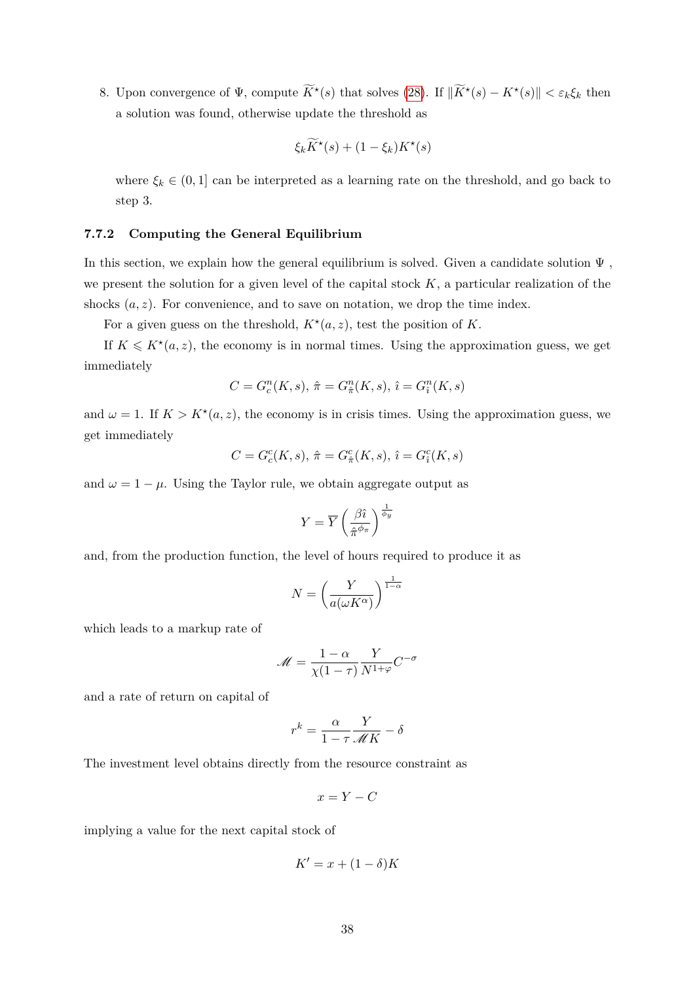8. Upon convergence of  $\Psi$ , compute  $\widetilde{K}^*(s)$  that solves [\(28\)](#page-35-4). If  $\|\widetilde{K}^*(s) - K^*(s)\| < \varepsilon_k \xi_k$  then a solution was found, otherwise update the threshold as

$$
\xi_k \widetilde{K}^\star(s) + (1 - \xi_k) K^\star(s)
$$

where  $\xi_k \in (0,1]$  can be interpreted as a learning rate on the threshold, and go back to step 3.

### **7.7.2 Computing the General Equilibrium**

In this section, we explain how the general equilibrium is solved. Given a candidate solution  $\Psi$ , we present the solution for a given level of the capital stock *K*, a particular realization of the shocks  $(a, z)$ . For convenience, and to save on notation, we drop the time index.

For a given guess on the threshold,  $K^*(a, z)$ , test the position of K.

If  $K \leq K^*(a, z)$ , the economy is in normal times. Using the approximation guess, we get immediately

$$
C = G_c^n(K, s), \, \hat{\pi} = G_{\hat{\pi}}^n(K, s), \, \hat{\imath} = G_{\hat{\imath}}^n(K, s)
$$

and  $\omega = 1$ . If  $K > K^*(a, z)$ , the economy is in crisis times. Using the approximation guess, we get immediately

$$
C=G^c_c(K,s),\ \hat\pi=G^c_{\hat\pi}(K,s),\ \hat\imath=G^c_{\hat\imath}(K,s)
$$

and  $\omega = 1 - \mu$ . Using the Taylor rule, we obtain aggregate output as

$$
Y = \overline{Y} \left(\frac{\beta \hat{\imath}}{\hat{\pi}^{\phi_{\pi}}} \right)^{\frac{1}{\phi_{y}}}
$$

and, from the production function, the level of hours required to produce it as

$$
N = \left(\frac{Y}{a(\omega K^{\alpha})}\right)^{\frac{1}{1-\alpha}}
$$

which leads to a markup rate of

$$
\mathcal{M} = \frac{1 - \alpha}{\chi(1 - \tau)} \frac{Y}{N^{1 + \varphi}} C^{-\sigma}
$$

and a rate of return on capital of

$$
r^k = \frac{\alpha}{1 - \tau} \frac{Y}{\mathscr{M}K} - \delta
$$

The investment level obtains directly from the resource constraint as

$$
x = Y - C
$$

implying a value for the next capital stock of

$$
K' = x + (1 - \delta)K
$$